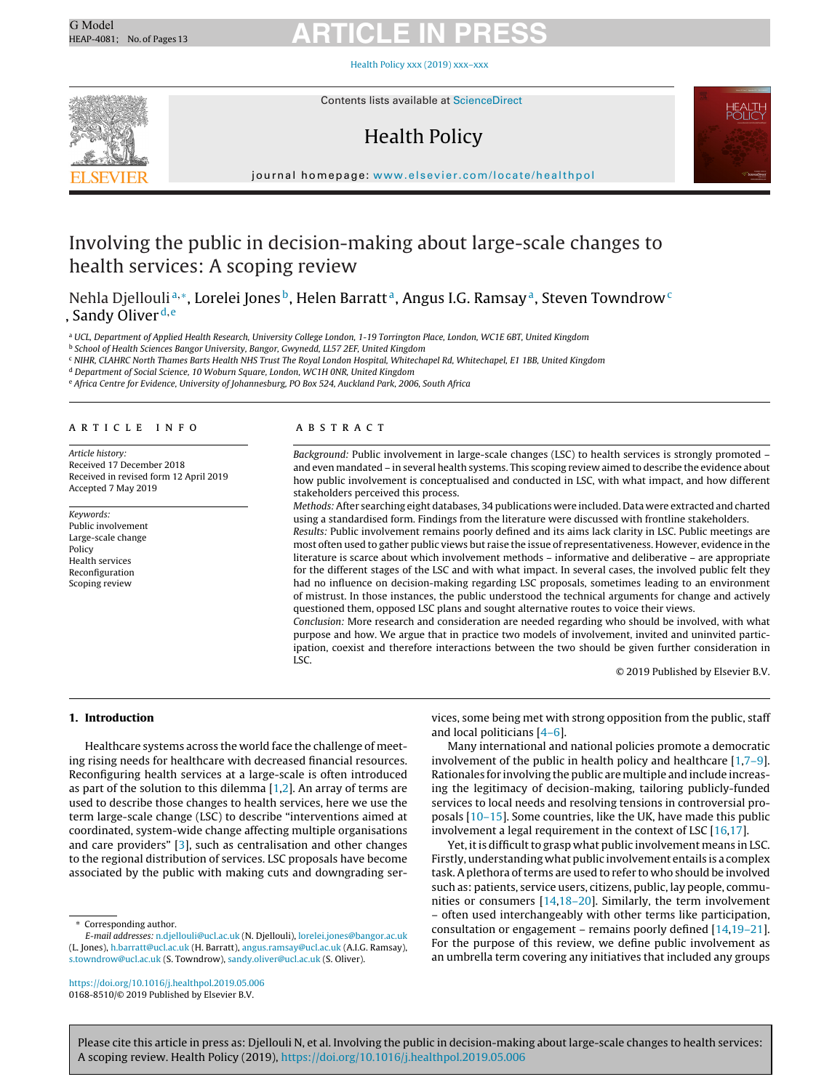Health Policy xxx (2019) [xxx–xxx](https://doi.org/10.1016/j.healthpol.2019.05.006)



Contents lists available at [ScienceDirect](http://www.sciencedirect.com/science/journal/01688510)

### Health Policy



journal homepage: [www.elsevier.com/locate/healthpol](http://www.elsevier.com/locate/healthpol)

### Involving the public in decision-making about large-scale changes to health services: A scoping review

Nehla Djellouli<sup>a,∗</sup>, Lorelei Jones<sup>b</sup>, Helen Barratt<sup>a</sup>, Angus I.G. Ramsay<sup>a</sup>, Steven Towndrow<sup>c</sup> , Sandy Oliver<sup>d, e</sup>

<sup>a</sup> UCL, Department of Applied Health Research, University College London, 1-19 Torrington Place, London, WC1E 6BT, United Kingdom

<sup>b</sup> School of Health Sciences Bangor University, Bangor, Gwynedd, LL57 2EF, United Kingdom

<sup>c</sup> NIHR, CLAHRC North Thames Barts Health NHS Trust The Royal London Hospital, Whitechapel Rd, Whitechapel, E1 1BB, United Kingdom

<sup>d</sup> Department of Social Science, 10 Woburn Square, London, WC1H 0NR, United Kingdom

<sup>e</sup> Africa Centre for Evidence, University of Johannesburg, PO Box 524, Auckland Park, 2006, South Africa

#### a r t i c l e i n f o

Article history: Received 17 December 2018 Received in revised form 12 April 2019 Accepted 7 May 2019

Keywords: Public involvement Large-scale change Policy Health services Reconfiguration Scoping review

#### A B S T R A C T

Background: Public involvement in large-scale changes (LSC) to health services is strongly promoted – and even mandated – in several health systems. This scoping review aimed to describe the evidence about how public involvement is conceptualised and conducted in LSC, with what impact, and how different stakeholders perceived this process.

Methods: After searching eight databases, 34 publications were included. Data were extracted and charted using a standardised form. Findings from the literature were discussed with frontline stakeholders.

Results: Public involvement remains poorly defined and its aims lack clarity in LSC. Public meetings are most often used to gather public views but raise the issue of representativeness. However, evidence in the literature is scarce about which involvement methods – informative and deliberative – are appropriate for the different stages of the LSC and with what impact. In several cases, the involved public felt they had no influence on decision-making regarding LSC proposals, sometimes leading to an environment of mistrust. In those instances, the public understood the technical arguments for change and actively questioned them, opposed LSC plans and sought alternative routes to voice their views.

Conclusion: More research and consideration are needed regarding who should be involved, with what purpose and how. We argue that in practice two models of involvement, invited and uninvited participation, coexist and therefore interactions between the two should be given further consideration in LSC.

© 2019 Published by Elsevier B.V.

#### **1. Introduction**

Healthcare systems across the world face the challenge of meeting rising needs for healthcare with decreased financial resources. Reconfiguring health services at a large-scale is often introduced as part of the solution to this dilemma  $[1,2]$ . An array of terms are used to describe those changes to health services, here we use the term large-scale change (LSC) to describe "interventions aimed at coordinated, system-wide change affecting multiple organisations and care providers" [\[3\],](#page-11-0) such as centralisation and other changes to the regional distribution of services. LSC proposals have become associated by the public with making cuts and downgrading ser-

∗ Corresponding author.

E-mail addresses: [n.djellouli@ucl.ac.uk](mailto:n.djellouli@ucl.ac.uk) (N. Djellouli), [lorelei.jones@bangor.ac.uk](mailto:lorelei.jones@bangor.ac.uk) (L. Jones), [h.barratt@ucl.ac.uk](mailto:h.barratt@ucl.ac.uk) (H. Barratt), [angus.ramsay@ucl.ac.uk](mailto:angus.ramsay@ucl.ac.uk) (A.I.G. Ramsay), [s.towndrow@ucl.ac.uk](mailto:s.towndrow@ucl.ac.uk) (S. Towndrow), [sandy.oliver@ucl.ac.uk](mailto:sandy.oliver@ucl.ac.uk) (S. Oliver).

<https://doi.org/10.1016/j.healthpol.2019.05.006> 0168-8510/© 2019 Published by Elsevier B.V.

vices, some being met with strong opposition from the public, staff and local politicians [\[4–6\].](#page-11-0)

Many international and national policies promote a democratic involvement of the public in health policy and healthcare [[1,7–9\].](#page-11-0) Rationales for involving the public are multiple and include increasing the legitimacy of decision-making, tailoring publicly-funded services to local needs and resolving tensions in controversial proposals [\[10–15\].](#page-11-0) Some countries, like the UK, have made this public involvement a legal requirement in the context of LSC [\[16,17\].](#page-11-0)

Yet, it is difficult to grasp what public involvement means in LSC. Firstly, understanding what public involvement entails is a complex task. A plethora of terms are used to refer to who should be involved such as: patients, service users, citizens, public, lay people, communities or consumers [\[14,18–20\].](#page-11-0) Similarly, the term involvement – often used interchangeably with other terms like participation, consultation or engagement – remains poorly defined [\[14,19–21\].](#page-11-0) For the purpose of this review, we define public involvement as an umbrella term covering any initiatives that included any groups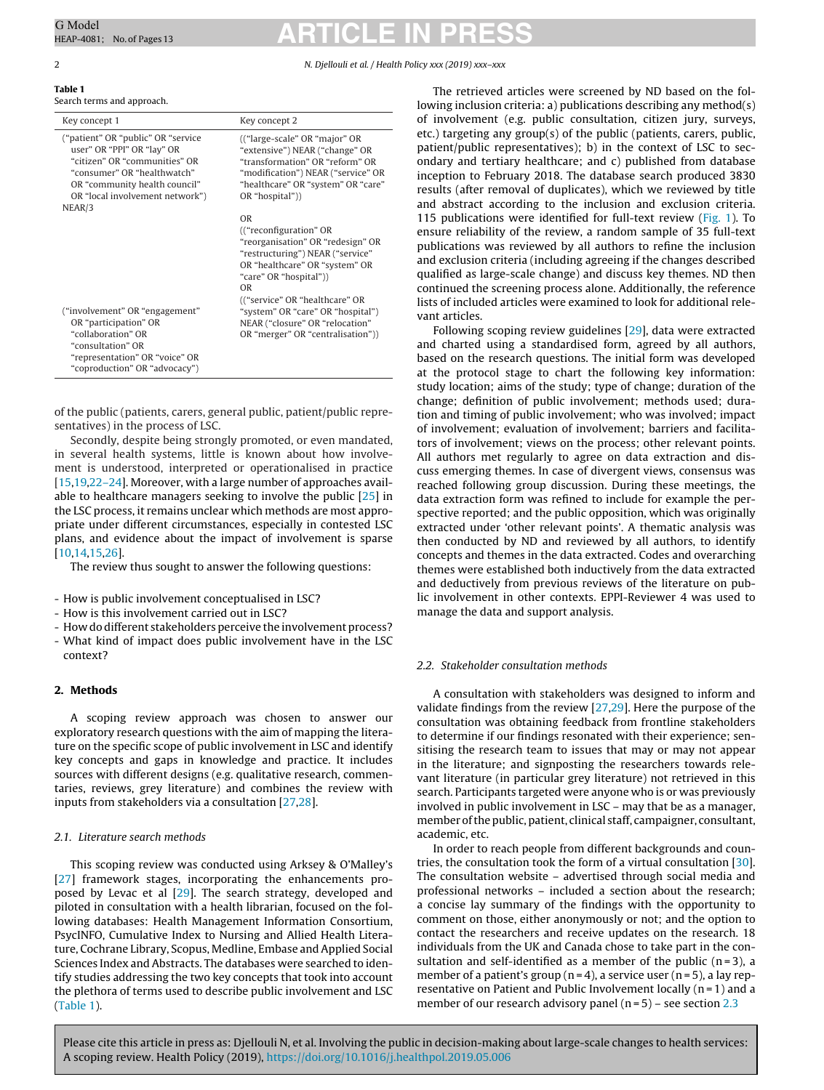#### **Table 1**

|  |  |  | Search terms and approach. |  |
|--|--|--|----------------------------|--|
|--|--|--|----------------------------|--|

| Key concept 1                                                                                                                                                                                          | Key concept 2                                                                                                                                                                                    |  |
|--------------------------------------------------------------------------------------------------------------------------------------------------------------------------------------------------------|--------------------------------------------------------------------------------------------------------------------------------------------------------------------------------------------------|--|
| ("patient" OR "public" OR "service")<br>user" OR "PPI" OR "lay" OR<br>"citizen" OR "communities" OR<br>"consumer" OR "healthwatch"<br>OR "community health council"<br>OR "local involvement network") | (("large-scale" OR "major" OR<br>"extensive") NEAR ("change" OR<br>"transformation" OR "reform" OR<br>"modification") NEAR ("service" OR<br>"healthcare" OR "system" OR "care"<br>OR "hospital") |  |
| NEAR/3                                                                                                                                                                                                 | <b>OR</b><br>(("reconfiguration" OR<br>"reorganisation" OR "redesign" OR<br>"restructuring") NEAR ("service"<br>OR "healthcare" OR "system" OR<br>"care" OR "hospital"))<br><b>OR</b>            |  |
| ("involvement" OR "engagement"<br>OR "participation" OR<br>"collaboration" OR<br>"consultation" OR<br>"representation" OR "voice" OR<br>"coproduction" OR "advocacy")                                  | (("service" OR "healthcare" OR<br>"system" OR "care" OR "hospital")<br>NEAR ("closure" OR "relocation"<br>OR "merger" OR "centralisation"))                                                      |  |

of the public (patients, carers, general public, patient/public representatives) in the process of LSC.

Secondly, despite being strongly promoted, or even mandated, in several health systems, little is known about how involvement is understood, interpreted or operationalised in practice [[15,19,22–24\].](#page-11-0) Moreover, with a large number of approaches available to healthcare managers seeking to involve the public [[25\]](#page-11-0) in the LSC process, it remains unclear which methods are most appropriate under different circumstances, especially in contested LSC plans, and evidence about the impact of involvement is sparse [[10,14,15,26\].](#page-11-0)

The review thus sought to answer the following questions:

- How is public involvement conceptualised in LSC?
- How is this involvement carried out in LSC?
- How do different stakeholders perceive the involvement process?
- What kind of impact does public involvement have in the LSC context?

#### **2. Methods**

A scoping review approach was chosen to answer our exploratory research questions with the aim of mapping the literature on the specific scope of public involvement in LSC and identify key concepts and gaps in knowledge and practice. It includes sources with different designs (e.g. qualitative research, commentaries, reviews, grey literature) and combines the review with inputs from stakeholders via a consultation [[27,28\].](#page-11-0)

#### 2.1. Literature search methods

This scoping review was conducted using Arksey & O'Malley's [[27\]](#page-11-0) framework stages, incorporating the enhancements proposed by Levac et al [[29\].](#page-11-0) The search strategy, developed and piloted in consultation with a health librarian, focused on the following databases: Health Management Information Consortium, PsycINFO, Cumulative Index to Nursing and Allied Health Literature, Cochrane Library, Scopus, Medline, Embase and Applied Social Sciences Index and Abstracts. The databases were searched to identify studies addressing the two key concepts that took into account the plethora of terms used to describe public involvement and LSC (Table 1).

<span id="page-1-0"></span>G Model G Model **ARTICLE IN PRESS** 

#### 2 N. Djellouli et al. / Health Policy xxx (2019) xxx–xxx

The retrieved articles were screened by ND based on the following inclusion criteria: a) publications describing any method(s) of involvement (e.g. public consultation, citizen jury, surveys, etc.) targeting any group(s) of the public (patients, carers, public, patient/public representatives); b) in the context of LSC to secondary and tertiary healthcare; and c) published from database inception to February 2018. The database search produced 3830 results (after removal of duplicates), which we reviewed by title and abstract according to the inclusion and exclusion criteria. 115 publications were identified for full-text review ([Fig.](#page-2-0) 1). To ensure reliability of the review, a random sample of 35 full-text publications was reviewed by all authors to refine the inclusion and exclusion criteria (including agreeing if the changes described qualified as large-scale change) and discuss key themes. ND then continued the screening process alone. Additionally, the reference lists of included articles were examined to look for additional relevant articles.

Following scoping review guidelines [[29\],](#page-11-0) data were extracted and charted using a standardised form, agreed by all authors, based on the research questions. The initial form was developed at the protocol stage to chart the following key information: study location; aims of the study; type of change; duration of the change; definition of public involvement; methods used; duration and timing of public involvement; who was involved; impact of involvement; evaluation of involvement; barriers and facilitators of involvement; views on the process; other relevant points. All authors met regularly to agree on data extraction and discuss emerging themes. In case of divergent views, consensus was reached following group discussion. During these meetings, the data extraction form was refined to include for example the perspective reported; and the public opposition, which was originally extracted under 'other relevant points'. A thematic analysis was then conducted by ND and reviewed by all authors, to identify concepts and themes in the data extracted. Codes and overarching themes were established both inductively from the data extracted and deductively from previous reviews of the literature on public involvement in other contexts. EPPI-Reviewer 4 was used to manage the data and support analysis.

#### 2.2. Stakeholder consultation methods

A consultation with stakeholders was designed to inform and validate findings from the review [\[27,29\].](#page-11-0) Here the purpose of the consultation was obtaining feedback from frontline stakeholders to determine if our findings resonated with their experience; sensitising the research team to issues that may or may not appear in the literature; and signposting the researchers towards relevant literature (in particular grey literature) not retrieved in this search. Participants targeted were anyone who is or was previously involved in public involvement in LSC – may that be as a manager, member of the public, patient, clinical staff, campaigner, consultant, academic, etc.

In order to reach people from different backgrounds and countries, the consultation took the form of a virtual consultation [\[30\].](#page-11-0) The consultation website – advertised through social media and professional networks – included a section about the research; a concise lay summary of the findings with the opportunity to comment on those, either anonymously or not; and the option to contact the researchers and receive updates on the research. 18 individuals from the UK and Canada chose to take part in the consultation and self-identified as a member of the public  $(n=3)$ , a member of a patient's group ( $n = 4$ ), a service user ( $n = 5$ ), a lay representative on Patient and Public Involvement locally  $(n = 1)$  and a member of our research advisory panel  $(n=5)$  – see section [2.3](#page-2-0)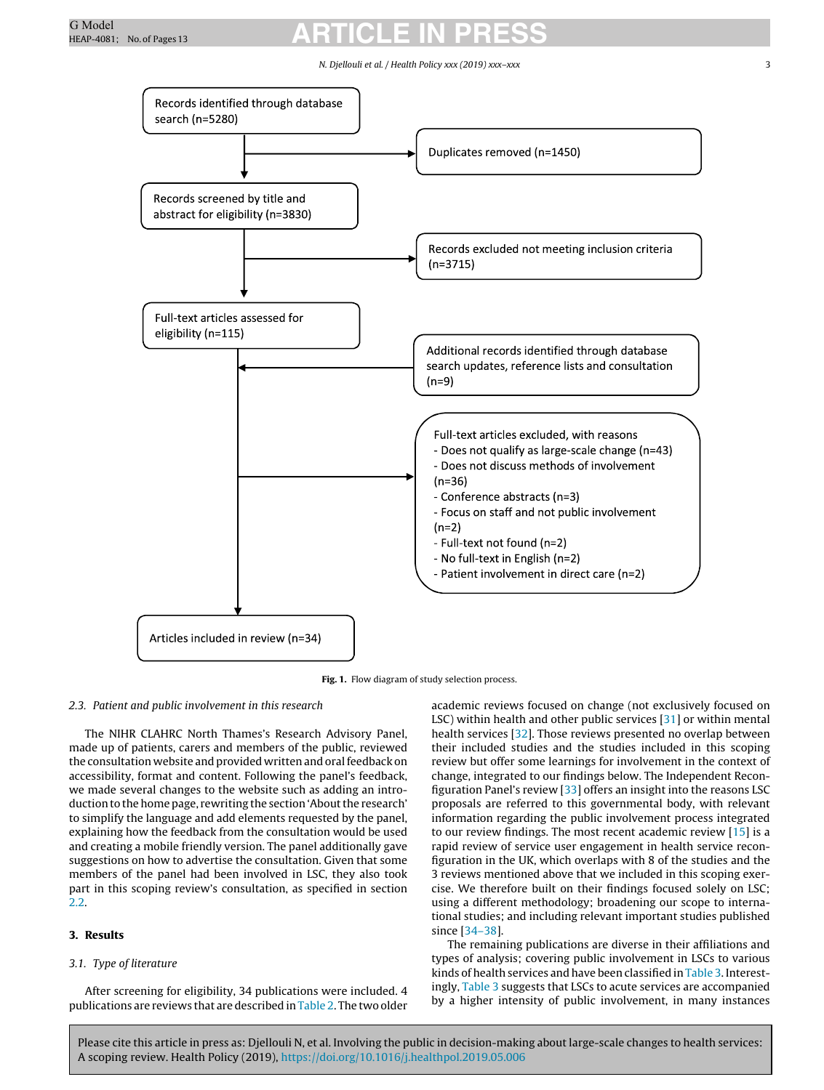#### N. Djellouli et al. / Health Policy xxx (2019) xxx-xxx

<span id="page-2-0"></span>

**Fig. 1.** Flow diagram of study selection process.

#### 2.3. Patient and public involvement in this research

The NIHR CLAHRC North Thames's Research Advisory Panel, made up of patients, carers and members of the public, reviewed the consultation website and provided written and oralfeedback on accessibility, format and content. Following the panel's feedback, we made several changes to the website such as adding an introduction to the home page, rewriting the section 'About the research' to simplify the language and add elements requested by the panel, explaining how the feedback from the consultation would be used and creating a mobile friendly version. The panel additionally gave suggestions on how to advertise the consultation. Given that some members of the panel had been involved in LSC, they also took part in this scoping review's consultation, as specified in section [2.2.](#page-1-0)

### **3. Results**

#### 3.1. Type of literature

After screening for eligibility, 34 publications were included. 4 publications are reviews that are described in [Table](#page-3-0) 2. The two older academic reviews focused on change (not exclusively focused on LSC) within health and other public services [[31\]](#page-11-0) or within mental health services [\[32\].](#page-11-0) Those reviews presented no overlap between their included studies and the studies included in this scoping review but offer some learnings for involvement in the context of change, integrated to our findings below. The Independent Reconfiguration Panel's review [[33\]](#page-11-0) offers an insight into the reasons LSC proposals are referred to this governmental body, with relevant information regarding the public involvement process integrated to our review findings. The most recent academic review [[15\]](#page-11-0) is a rapid review of service user engagement in health service reconfiguration in the UK, which overlaps with 8 of the studies and the 3 reviews mentioned above that we included in this scoping exercise. We therefore built on their findings focused solely on LSC; using a different methodology; broadening our scope to international studies; and including relevant important studies published since [[34–38\].](#page-11-0)

The remaining publications are diverse in their affiliations and types of analysis; covering public involvement in LSCs to various kinds of health services and have been classified in [Table](#page-4-0) 3. Interestingly, [Table](#page-4-0) 3 suggests that LSCs to acute services are accompanied by a higher intensity of public involvement, in many instances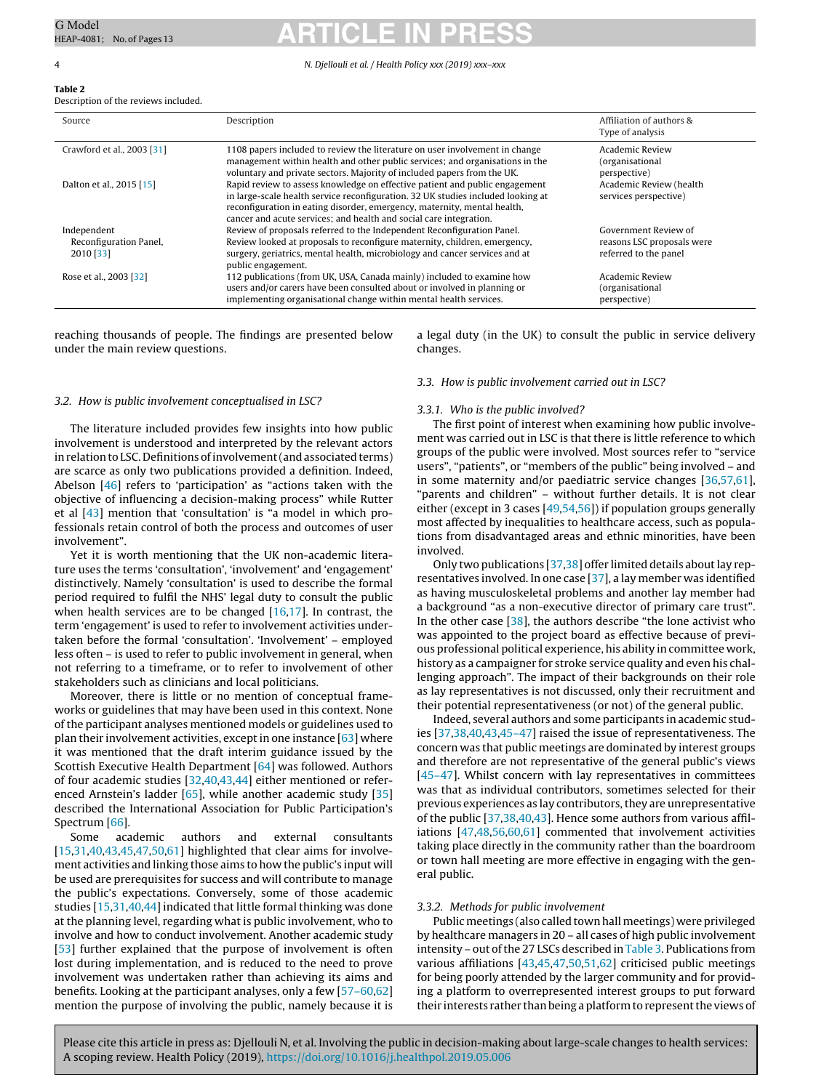#### 4 N. Djellouli et al. / Health Policy xxx (2019) xxx–xxx

#### <span id="page-3-0"></span>**Table 2** Description of the reviews included.

| Source                                             | Description                                                                                                                                                                                                                                                                                                       | Affiliation of authors &<br>Type of analysis                                |
|----------------------------------------------------|-------------------------------------------------------------------------------------------------------------------------------------------------------------------------------------------------------------------------------------------------------------------------------------------------------------------|-----------------------------------------------------------------------------|
| Crawford et al., 2003 [31]                         | 1108 papers included to review the literature on user involvement in change<br>management within health and other public services; and organisations in the<br>voluntary and private sectors. Majority of included papers from the UK.                                                                            | Academic Review<br>(organisational<br>perspective)                          |
| Dalton et al., 2015 [15]                           | Rapid review to assess knowledge on effective patient and public engagement<br>in large-scale health service reconfiguration. 32 UK studies included looking at<br>reconfiguration in eating disorder, emergency, maternity, mental health,<br>cancer and acute services; and health and social care integration. | Academic Review (health<br>services perspective)                            |
| Independent<br>Reconfiguration Panel,<br>2010 [33] | Review of proposals referred to the Independent Reconfiguration Panel.<br>Review looked at proposals to reconfigure maternity, children, emergency,<br>surgery, geriatrics, mental health, microbiology and cancer services and at<br>public engagement.                                                          | Government Review of<br>reasons LSC proposals were<br>referred to the panel |
| Rose et al., 2003 [32]                             | 112 publications (from UK, USA, Canada mainly) included to examine how<br>users and/or carers have been consulted about or involved in planning or<br>implementing organisational change within mental health services.                                                                                           | Academic Review<br>(organisational<br>perspective)                          |

reaching thousands of people. The findings are presented below under the main review questions.

a legal duty (in the UK) to consult the public in service delivery changes.

#### 3.2. How is public involvement conceptualised in LSC?

The literature included provides few insights into how public involvement is understood and interpreted by the relevant actors in relation to LSC. Definitions of involvement (and associated terms) are scarce as only two publications provided a definition. Indeed, Abelson [\[46\]](#page-12-0) refers to 'participation' as "actions taken with the objective of influencing a decision-making process" while Rutter et al [[43\]](#page-12-0) mention that 'consultation' is "a model in which professionals retain control of both the process and outcomes of user involvement".

Yet it is worth mentioning that the UK non-academic literature uses the terms 'consultation', 'involvement' and 'engagement' distinctively. Namely 'consultation' is used to describe the formal period required to fulfil the NHS' legal duty to consult the public when health services are to be changed  $[16,17]$ . In contrast, the term 'engagement' is used to refer to involvement activities undertaken before the formal 'consultation'. 'Involvement' – employed less often – is used to refer to public involvement in general, when not referring to a timeframe, or to refer to involvement of other stakeholders such as clinicians and local politicians.

Moreover, there is little or no mention of conceptual frameworks or guidelines that may have been used in this context. None of the participant analyses mentioned models or guidelines used to plan their involvement activities, except in one instance  $[63]$  where it was mentioned that the draft interim guidance issued by the Scottish Executive Health Department [\[64\]](#page-12-0) was followed. Authors of four academic studies [[32,](#page-11-0)[40,43,44\]](#page-12-0) either mentioned or refer-enced Arnstein's ladder [\[65\],](#page-12-0) while another academic study [[35\]](#page-11-0) described the International Association for Public Participation's Spectrum [[66\].](#page-12-0)

Some academic authors and external consultants  $[15,31,40,43,45,47,50,61]$  $[15,31,40,43,45,47,50,61]$  $[15,31,40,43,45,47,50,61]$  highlighted that clear aims for involvement activities and linking those aims to how the public's input will be used are prerequisites for success and will contribute to manage the public's expectations. Conversely, some of those academic studies [[15,31,](#page-11-0)[40,44\]](#page-12-0) indicated that little formal thinking was done at the planning level, regarding what is public involvement, who to involve and how to conduct involvement. Another academic study [[53\]](#page-12-0) further explained that the purpose of involvement is often lost during implementation, and is reduced to the need to prove involvement was undertaken rather than achieving its aims and benefits. Looking at the participant analyses, only a few [[57–60,62\]](#page-12-0) mention the purpose of involving the public, namely because it is

### 3.3. How is public involvement carried out in LSC?

#### 3.3.1. Who is the public involved?

The first point of interest when examining how public involvement was carried out in LSC is that there is little reference to which groups of the public were involved. Most sources refer to "service users", "patients", or "members of the public" being involved – and in some maternity and/or paediatric service changes [\[36,](#page-11-0)[57,61\],](#page-12-0) "parents and children" – without further details. It is not clear either (except in 3 cases [[49,54,56\]\)](#page-12-0) if population groups generally most affected by inequalities to healthcare access, such as populations from disadvantaged areas and ethnic minorities, have been involved.

Only two publications  $[37,38]$  offer limited details about lay representatives involved. In one case [\[37\],](#page-11-0) a lay member was identified as having musculoskeletal problems and another lay member had a background "as a non-executive director of primary care trust". In the other case  $[38]$ , the authors describe "the lone activist who was appointed to the project board as effective because of previous professional political experience, his ability in committee work, history as a campaigner for stroke service quality and even his challenging approach". The impact of their backgrounds on their role as lay representatives is not discussed, only their recruitment and their potential representativeness (or not) of the general public.

Indeed, several authors and some participants in academic studies [\[37,38,](#page-11-0)[40,43,45–47\]](#page-12-0) raised the issue of representativeness. The concern was that public meetings are dominated by interest groups and therefore are not representative of the general public's views [\[45–47\].](#page-12-0) Whilst concern with lay representatives in committees was that as individual contributors, sometimes selected for their previous experiences as lay contributors,they are unrepresentative of the public [[37,38,](#page-11-0)[40,43\].](#page-12-0) Hence some authors from various affiliations [\[47,48,56,60,61\]](#page-12-0) commented that involvement activities taking place directly in the community rather than the boardroom or town hall meeting are more effective in engaging with the general public.

#### 3.3.2. Methods for public involvement

Public meetings (also called town hall meetings) were privileged by healthcare managers in 20 – all cases of high public involvement intensity – out of the 27 LSCs described in  $Table 3$  $Table 3$ . Publications from various affiliations [\[43,45,47,50,51,62\]](#page-12-0) criticised public meetings for being poorly attended by the larger community and for providing a platform to overrepresented interest groups to put forward their interests rather than being a platform to represent the views of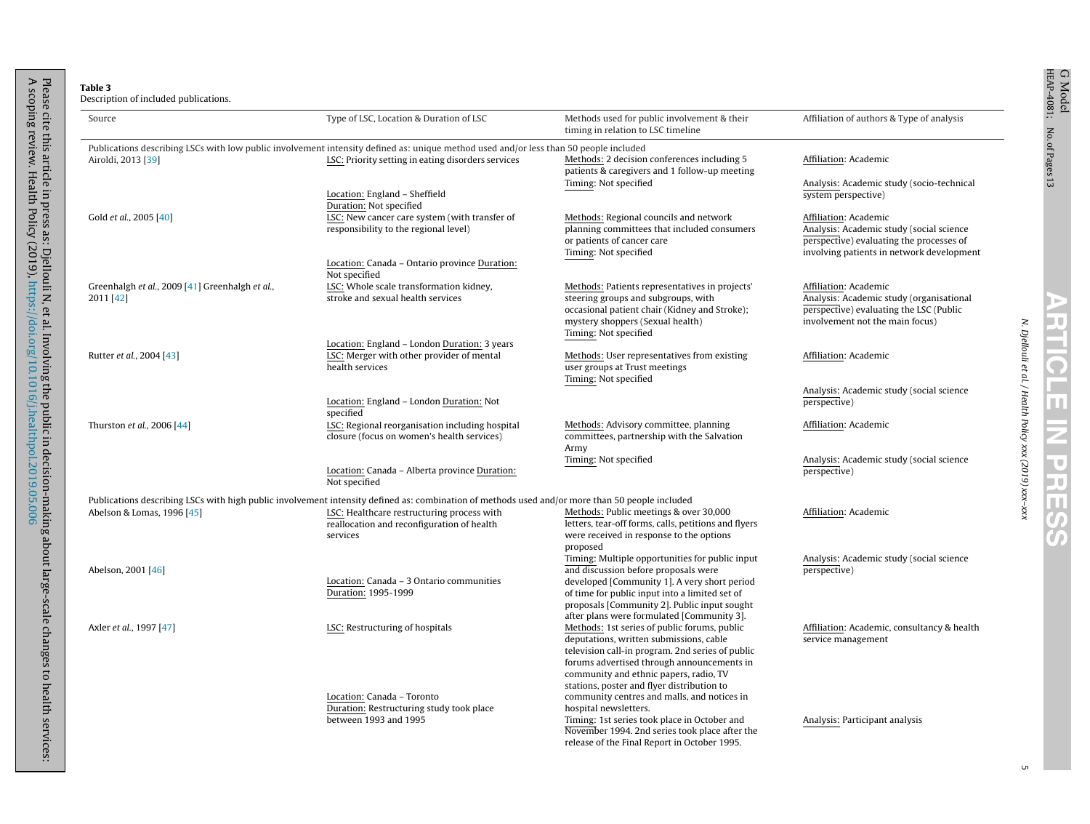<span id="page-4-0"></span>

|                      | $\frac{1}{2}$                                                       |
|----------------------|---------------------------------------------------------------------|
|                      |                                                                     |
|                      |                                                                     |
|                      | ֧֧֧֧֓֓֓֓֓֓֓֓֓֓֓֓֓֓֓֓֓֓֓֓֓֓֓֓֓֓֓֓֓֓֓֓֓֟֓֡֟֓֡֟֓֡֟֓֡֟֡֟֡֡֟֓֡֟֓֡֟֡֟֡֬֩֓ |
|                      |                                                                     |
|                      |                                                                     |
|                      |                                                                     |
| $\frac{1}{2}$        |                                                                     |
|                      |                                                                     |
|                      |                                                                     |
|                      |                                                                     |
| ĺ                    |                                                                     |
|                      |                                                                     |
|                      | フェニュー                                                               |
|                      |                                                                     |
| $\ddot{\phantom{0}}$ |                                                                     |
|                      |                                                                     |
| $\ddot{\phantom{0}}$ |                                                                     |
|                      |                                                                     |
| l                    |                                                                     |
|                      |                                                                     |
|                      | Ï                                                                   |
|                      |                                                                     |
|                      |                                                                     |
|                      |                                                                     |
|                      |                                                                     |
|                      |                                                                     |
|                      | ĺ                                                                   |
|                      | icion m/                                                            |
|                      |                                                                     |
|                      |                                                                     |
|                      |                                                                     |
|                      |                                                                     |
|                      |                                                                     |
|                      |                                                                     |
|                      |                                                                     |
|                      |                                                                     |
|                      |                                                                     |
|                      |                                                                     |
|                      |                                                                     |
|                      |                                                                     |
|                      |                                                                     |
|                      |                                                                     |
|                      |                                                                     |
|                      |                                                                     |
|                      |                                                                     |
|                      |                                                                     |
|                      |                                                                     |
|                      | services:                                                           |

| Publications describing LSCs with low public involvement intensity defined as: unique method used and/or less than 50 people included<br>Methods: 2 decision conferences including 5<br>LSC: Priority setting in eating disorders services<br>Affiliation: Academic<br>Airoldi, 2013 [39]<br>patients & caregivers and 1 follow-up meeting<br>Timing: Not specified<br>Analysis: Academic study (socio-technical<br>Location: England - Sheffield<br>system perspective)<br>Duration: Not specified |
|-----------------------------------------------------------------------------------------------------------------------------------------------------------------------------------------------------------------------------------------------------------------------------------------------------------------------------------------------------------------------------------------------------------------------------------------------------------------------------------------------------|
|                                                                                                                                                                                                                                                                                                                                                                                                                                                                                                     |
|                                                                                                                                                                                                                                                                                                                                                                                                                                                                                                     |
|                                                                                                                                                                                                                                                                                                                                                                                                                                                                                                     |
|                                                                                                                                                                                                                                                                                                                                                                                                                                                                                                     |
| Affiliation: Academic<br>Gold et al., 2005 [40]<br>LSC: New cancer care system (with transfer of<br>Methods: Regional councils and network                                                                                                                                                                                                                                                                                                                                                          |
| responsibility to the regional level)<br>planning committees that included consumers<br>Analysis: Academic study (social science                                                                                                                                                                                                                                                                                                                                                                    |
| or patients of cancer care<br>perspective) evaluating the processes of                                                                                                                                                                                                                                                                                                                                                                                                                              |
| Timing: Not specified<br>involving patients in network development                                                                                                                                                                                                                                                                                                                                                                                                                                  |
| Location: Canada - Ontario province Duration:<br>Not specified                                                                                                                                                                                                                                                                                                                                                                                                                                      |
| LSC: Whole scale transformation kidney,<br>Greenhalgh et al., 2009 [41] Greenhalgh et al.,<br>Methods: Patients representatives in projects'<br>Affiliation: Academic                                                                                                                                                                                                                                                                                                                               |
| stroke and sexual health services<br>Analysis: Academic study (organisational<br>2011 [42]<br>steering groups and subgroups, with                                                                                                                                                                                                                                                                                                                                                                   |
| occasional patient chair (Kidney and Stroke);<br>perspective) evaluating the LSC (Public                                                                                                                                                                                                                                                                                                                                                                                                            |
| mystery shoppers (Sexual health)<br>involvement not the main focus)                                                                                                                                                                                                                                                                                                                                                                                                                                 |
| Timing: Not specified                                                                                                                                                                                                                                                                                                                                                                                                                                                                               |
| Location: England - London Duration: 3 years                                                                                                                                                                                                                                                                                                                                                                                                                                                        |
| LSC: Merger with other provider of mental<br>Rutter et al., 2004 [43]<br>Methods: User representatives from existing<br>Affiliation: Academic                                                                                                                                                                                                                                                                                                                                                       |
| health services<br>user groups at Trust meetings<br>Timing: Not specified                                                                                                                                                                                                                                                                                                                                                                                                                           |
| Analysis: Academic study (social science                                                                                                                                                                                                                                                                                                                                                                                                                                                            |
| Location: England – London Duration: Not<br>perspective)                                                                                                                                                                                                                                                                                                                                                                                                                                            |
| specified                                                                                                                                                                                                                                                                                                                                                                                                                                                                                           |
| Methods: Advisory committee, planning<br>Thurston et al., 2006 [44]<br>LSC: Regional reorganisation including hospital<br>Affiliation: Academic                                                                                                                                                                                                                                                                                                                                                     |
| closure (focus on women's health services)<br>committees, partnership with the Salvation                                                                                                                                                                                                                                                                                                                                                                                                            |
| Army                                                                                                                                                                                                                                                                                                                                                                                                                                                                                                |
| Timing: Not specified<br>Analysis: Academic study (social science                                                                                                                                                                                                                                                                                                                                                                                                                                   |
| Location: Canada - Alberta province Duration:<br>perspective)                                                                                                                                                                                                                                                                                                                                                                                                                                       |
| Not specified                                                                                                                                                                                                                                                                                                                                                                                                                                                                                       |
| Publications describing LSCs with high public involvement intensity defined as: combination of methods used and/or more than 50 people included                                                                                                                                                                                                                                                                                                                                                     |
| LSC: Healthcare restructuring process with<br>Methods: Public meetings & over 30,000<br>Affiliation: Academic<br>Abelson & Lomas, 1996 [45]                                                                                                                                                                                                                                                                                                                                                         |
| letters, tear-off forms, calls, petitions and flyers<br>reallocation and reconfiguration of health                                                                                                                                                                                                                                                                                                                                                                                                  |
| were received in response to the options<br>services                                                                                                                                                                                                                                                                                                                                                                                                                                                |
| proposed                                                                                                                                                                                                                                                                                                                                                                                                                                                                                            |
| Timing: Multiple opportunities for public input<br>Analysis: Academic study (social science                                                                                                                                                                                                                                                                                                                                                                                                         |
| and discussion before proposals were<br>perspective)<br>Abelson, 2001 [46]                                                                                                                                                                                                                                                                                                                                                                                                                          |
| Location: Canada - 3 Ontario communities<br>developed [Community 1]. A very short period<br>Duration: 1995-1999<br>of time for public input into a limited set of                                                                                                                                                                                                                                                                                                                                   |
| proposals [Community 2]. Public input sought                                                                                                                                                                                                                                                                                                                                                                                                                                                        |
| after plans were formulated [Community 3].                                                                                                                                                                                                                                                                                                                                                                                                                                                          |
| Axler et al., 1997 [47]<br>LSC: Restructuring of hospitals<br>Methods: 1st series of public forums, public<br>Affiliation: Academic, consultancy & health                                                                                                                                                                                                                                                                                                                                           |
| deputations, written submissions, cable<br>service management                                                                                                                                                                                                                                                                                                                                                                                                                                       |
| television call-in program. 2nd series of public                                                                                                                                                                                                                                                                                                                                                                                                                                                    |
| forums advertised through announcements in                                                                                                                                                                                                                                                                                                                                                                                                                                                          |
| community and ethnic papers, radio, TV                                                                                                                                                                                                                                                                                                                                                                                                                                                              |
| stations, poster and flyer distribution to                                                                                                                                                                                                                                                                                                                                                                                                                                                          |
| Location: Canada - Toronto<br>community centres and malls, and notices in                                                                                                                                                                                                                                                                                                                                                                                                                           |
| Duration: Restructuring study took place<br>hospital newsletters.                                                                                                                                                                                                                                                                                                                                                                                                                                   |
| Timing: 1st series took place in October and<br>Analysis: Participant analysis<br>between 1993 and 1995                                                                                                                                                                                                                                                                                                                                                                                             |
| November 1994. 2nd series took place after the<br>release of the Final Report in October 1995.                                                                                                                                                                                                                                                                                                                                                                                                      |

N. Djellouli et al. / Health

Policy xxx (2019)

xxx–xxx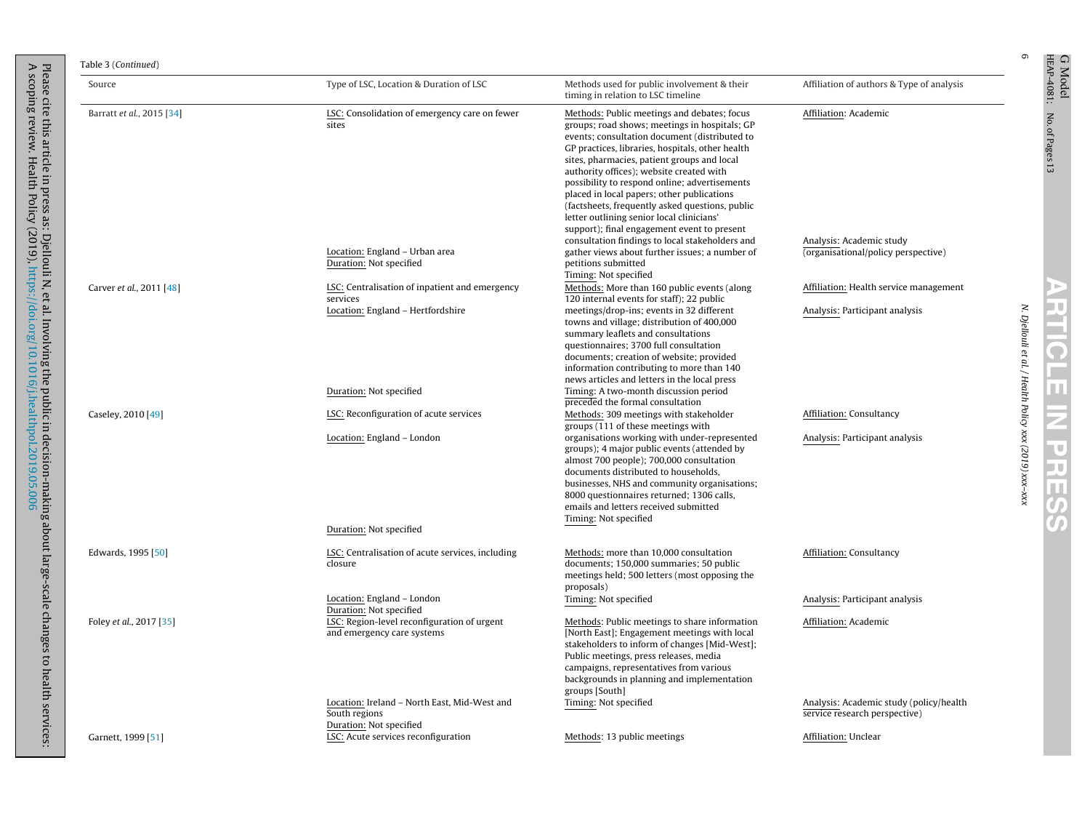|  | Table 3 (Continue |
|--|-------------------|
|--|-------------------|

Please

A scoping

review.

Health

Policy

(2019),

cite this

article in press as:

Djellouli

N, et al.

Involving

the public in

<https://doi.org/10.1016/j.healthpol.2019.05.006>

decision-making

about

large-scale

changes

to health

services:

| Source                    | Type of LSC, Location & Duration of LSC                                                                             | Methods used for public involvement & their<br>timing in relation to LSC timeline                                                                                                                                                                                                                                                                                                                                                                                                                                                                                                                                                                                      | Affiliation of authors & Type of analysis                                                |
|---------------------------|---------------------------------------------------------------------------------------------------------------------|------------------------------------------------------------------------------------------------------------------------------------------------------------------------------------------------------------------------------------------------------------------------------------------------------------------------------------------------------------------------------------------------------------------------------------------------------------------------------------------------------------------------------------------------------------------------------------------------------------------------------------------------------------------------|------------------------------------------------------------------------------------------|
| Barratt et al., 2015 [34] | LSC: Consolidation of emergency care on fewer<br>sites<br>Location: England - Urban area<br>Duration: Not specified | Methods: Public meetings and debates; focus<br>groups; road shows; meetings in hospitals; GP<br>events; consultation document (distributed to<br>GP practices, libraries, hospitals, other health<br>sites, pharmacies, patient groups and local<br>authority offices); website created with<br>possibility to respond online; advertisements<br>placed in local papers; other publications<br>(factsheets, frequently asked questions, public<br>letter outlining senior local clinicians'<br>support); final engagement event to present<br>consultation findings to local stakeholders and<br>gather views about further issues; a number of<br>petitions submitted | Affiliation: Academic<br>Analysis: Academic study<br>(organisational/policy perspective) |
| Carver et al., 2011 [48]  | LSC: Centralisation of inpatient and emergency                                                                      | Timing: Not specified<br>Methods: More than 160 public events (along                                                                                                                                                                                                                                                                                                                                                                                                                                                                                                                                                                                                   | Affiliation: Health service management                                                   |
|                           | services<br>Location: England - Hertfordshire                                                                       | 120 internal events for staff); 22 public<br>meetings/drop-ins; events in 32 different<br>towns and village; distribution of 400,000<br>summary leaflets and consultations<br>questionnaires; 3700 full consultation<br>documents; creation of website; provided<br>information contributing to more than 140<br>news articles and letters in the local press                                                                                                                                                                                                                                                                                                          | Analysis: Participant analysis                                                           |
|                           | Duration: Not specified                                                                                             | Timing: A two-month discussion period<br>preceded the formal consultation                                                                                                                                                                                                                                                                                                                                                                                                                                                                                                                                                                                              |                                                                                          |
| Caseley, 2010 [49]        | LSC: Reconfiguration of acute services                                                                              | Methods: 309 meetings with stakeholder<br>groups (111 of these meetings with                                                                                                                                                                                                                                                                                                                                                                                                                                                                                                                                                                                           | Affiliation: Consultancy                                                                 |
|                           | Location: England - London                                                                                          | organisations working with under-represented<br>groups); 4 major public events (attended by<br>almost 700 people); 700,000 consultation<br>documents distributed to households,<br>businesses, NHS and community organisations;<br>8000 questionnaires returned; 1306 calls,<br>emails and letters received submitted<br>Timing: Not specified                                                                                                                                                                                                                                                                                                                         | Analysis: Participant analysis                                                           |
|                           | Duration: Not specified                                                                                             |                                                                                                                                                                                                                                                                                                                                                                                                                                                                                                                                                                                                                                                                        |                                                                                          |
| Edwards, 1995 [50]        | LSC: Centralisation of acute services, including<br>closure                                                         | Methods: more than 10,000 consultation<br>documents; 150,000 summaries; 50 public<br>meetings held; 500 letters (most opposing the<br>proposals)                                                                                                                                                                                                                                                                                                                                                                                                                                                                                                                       | Affiliation: Consultancy                                                                 |
|                           | Location: England - London<br>Duration: Not specified                                                               | Timing: Not specified                                                                                                                                                                                                                                                                                                                                                                                                                                                                                                                                                                                                                                                  | Analysis: Participant analysis                                                           |
| Foley et al., 2017 [35]   | LSC: Region-level reconfiguration of urgent<br>and emergency care systems                                           | Methods: Public meetings to share information<br>[North East]; Engagement meetings with local<br>stakeholders to inform of changes [Mid-West];<br>Public meetings, press releases, media<br>campaigns, representatives from various<br>backgrounds in planning and implementation<br>groups [South]                                                                                                                                                                                                                                                                                                                                                                    | Affiliation: Academic                                                                    |
|                           | Location: Ireland - North East, Mid-West and<br>South regions<br>Duration: Not specified                            | Timing: Not specified                                                                                                                                                                                                                                                                                                                                                                                                                                                                                                                                                                                                                                                  | Analysis: Academic study (policy/health<br>service research perspective)                 |
| Garnett, 1999 [51]        | LSC: Acute services reconfiguration                                                                                 | Methods: 13 public meetings                                                                                                                                                                                                                                                                                                                                                                                                                                                                                                                                                                                                                                            | Affiliation: Unclear                                                                     |

<sup>C Model</sup> NARTICLE IN PRESS<br>HEAP-4081; No.of Pare=13 **ARTICLE IN PRESS** 

No. of Pages13

G Model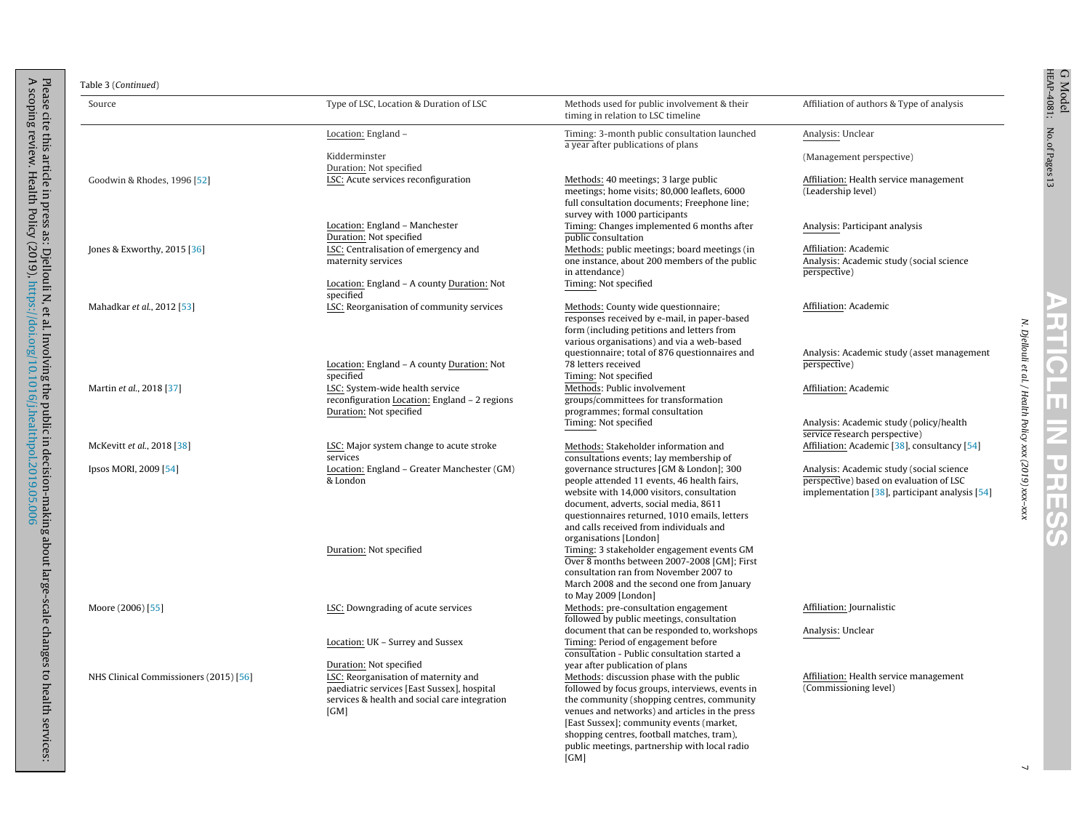| IEAP-4081       | 9<br>Mode |
|-----------------|-----------|
| No. of Pages 13 |           |

h s

N. Djellouli et al. / Health

Policy xxx (2019)

xxx–xxx

Table 3 (Continued)

| Source                                 | Type of LSC, Location & Duration of LSC                                                                                                                                 | Methods used for public involvement & their<br>timing in relation to LSC timeline                                                                                                                                                                                                                                                                                                  | Affiliation of authors & Type of analysis                                                                                             |
|----------------------------------------|-------------------------------------------------------------------------------------------------------------------------------------------------------------------------|------------------------------------------------------------------------------------------------------------------------------------------------------------------------------------------------------------------------------------------------------------------------------------------------------------------------------------------------------------------------------------|---------------------------------------------------------------------------------------------------------------------------------------|
|                                        | Location: England -                                                                                                                                                     | Timing: 3-month public consultation launched<br>a year after publications of plans                                                                                                                                                                                                                                                                                                 | Analysis: Unclear                                                                                                                     |
|                                        | Kidderminster<br>Duration: Not specified                                                                                                                                |                                                                                                                                                                                                                                                                                                                                                                                    | (Management perspective)                                                                                                              |
| Goodwin & Rhodes, 1996 [52]            | LSC: Acute services reconfiguration                                                                                                                                     | Methods: 40 meetings: 3 large public<br>meetings; home visits; 80,000 leaflets, 6000<br>full consultation documents; Freephone line;<br>survey with 1000 participants                                                                                                                                                                                                              | Affiliation: Health service management<br>(Leadership level)                                                                          |
|                                        | Location: England - Manchester<br>Duration: Not specified                                                                                                               | Timing: Changes implemented 6 months after<br>public consultation                                                                                                                                                                                                                                                                                                                  | Analysis: Participant analysis                                                                                                        |
| Jones & Exworthy, 2015 [36]            | LSC: Centralisation of emergency and<br>maternity services                                                                                                              | Methods: public meetings; board meetings (in<br>one instance, about 200 members of the public<br>in attendance)                                                                                                                                                                                                                                                                    | Affiliation: Academic<br>Analysis: Academic study (social science<br>perspective)                                                     |
|                                        | Location: England - A county Duration: Not<br>specified                                                                                                                 | Timing: Not specified                                                                                                                                                                                                                                                                                                                                                              |                                                                                                                                       |
| Mahadkar et al., 2012 [53]             | LSC: Reorganisation of community services                                                                                                                               | Methods: County wide questionnaire;<br>responses received by e-mail, in paper-based<br>form (including petitions and letters from<br>various organisations) and via a web-based                                                                                                                                                                                                    | Affiliation: Academic                                                                                                                 |
|                                        | Location: England - A county Duration: Not<br>specified                                                                                                                 | questionnaire; total of 876 questionnaires and<br>78 letters received<br>Timing: Not specified                                                                                                                                                                                                                                                                                     | Analysis: Academic study (asset management<br>perspective)                                                                            |
| Martin et al., 2018 [37]               | LSC: System-wide health service<br>reconfiguration Location: England - 2 regions<br>Duration: Not specified                                                             | Methods: Public involvement<br>groups/committees for transformation<br>programmes; formal consultation                                                                                                                                                                                                                                                                             | Affiliation: Academic                                                                                                                 |
|                                        |                                                                                                                                                                         | Timing: Not specified                                                                                                                                                                                                                                                                                                                                                              | Analysis: Academic study (policy/health<br>service research perspective)                                                              |
| McKevitt et al., 2018 [38]             | LSC: Major system change to acute stroke<br>services                                                                                                                    | Methods: Stakeholder information and<br>consultations events; lay membership of                                                                                                                                                                                                                                                                                                    | Affiliation: Academic [38], consultancy [54]                                                                                          |
| Ipsos MORI, 2009 [54]                  | Location: England - Greater Manchester (GM)<br>& London                                                                                                                 | governance structures [GM & London]; 300<br>people attended 11 events, 46 health fairs,<br>website with 14,000 visitors, consultation<br>document, adverts, social media, 8611<br>questionnaires returned, 1010 emails, letters<br>and calls received from individuals and<br>organisations [London]                                                                               | Analysis: Academic study (social science<br>perspective) based on evaluation of LSC<br>implementation [38], participant analysis [54] |
|                                        | Duration: Not specified                                                                                                                                                 | Timing: 3 stakeholder engagement events GM<br>Over 8 months between 2007-2008 [GM]; First<br>consultation ran from November 2007 to<br>March 2008 and the second one from January<br>to May 2009 [London]                                                                                                                                                                          |                                                                                                                                       |
| Moore (2006) [55]                      | LSC: Downgrading of acute services                                                                                                                                      | Methods: pre-consultation engagement<br>followed by public meetings, consultation                                                                                                                                                                                                                                                                                                  | Affiliation: Journalistic                                                                                                             |
|                                        | Location: UK - Surrey and Sussex                                                                                                                                        | document that can be responded to, workshops<br>Timing: Period of engagement before<br>consultation - Public consultation started a                                                                                                                                                                                                                                                | Analysis: Unclear                                                                                                                     |
| NHS Clinical Commissioners (2015) [56] | Duration: Not specified<br>LSC: Reorganisation of maternity and<br>paediatric services [East Sussex], hospital<br>services & health and social care integration<br>[GM] | year after publication of plans<br>Methods: discussion phase with the public<br>followed by focus groups, interviews, events in<br>the community (shopping centres, community<br>venues and networks) and articles in the press<br>[East Sussex]; community events (market,<br>shopping centres, football matches, tram),<br>public meetings, partnership with local radio<br>[GM] | Affiliation: Health service management<br>(Commissioning level)                                                                       |

 $\overline{\phantom{a}}$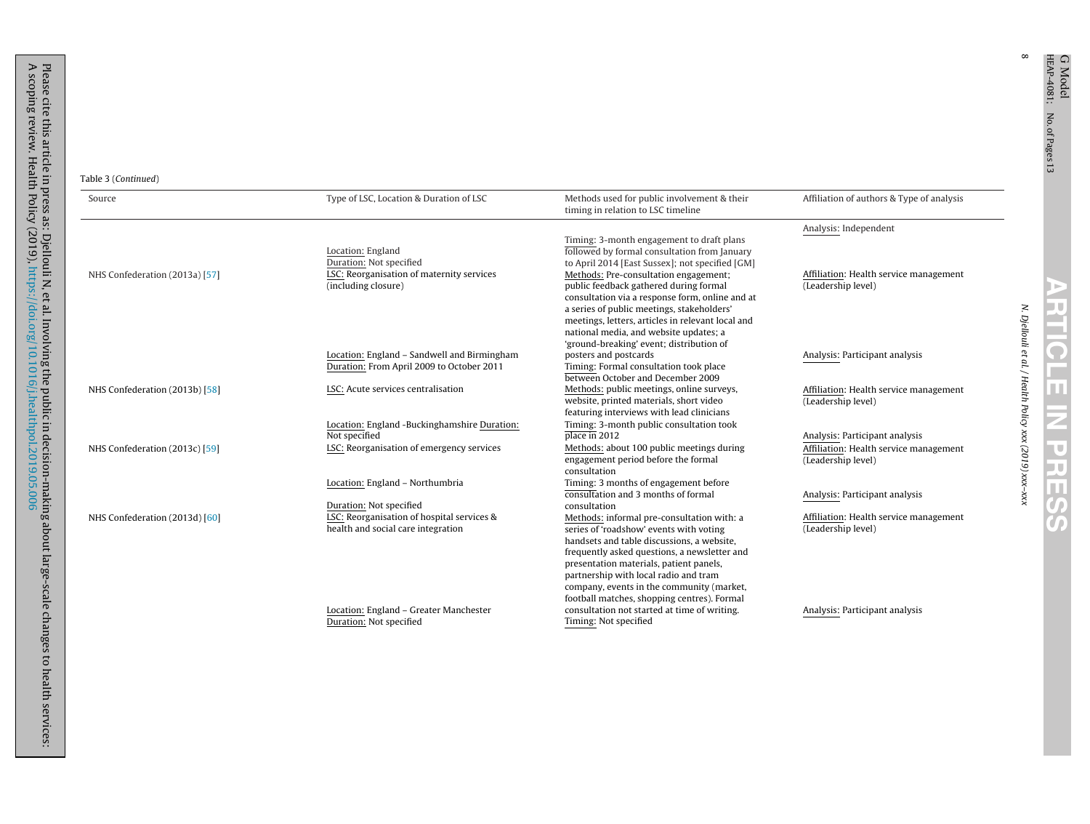$\infty$ 

**ARTICLE IN PRESS** 

| Source                         | Type of LSC, Location & Duration of LSC                                                  | Methods used for public involvement & their<br>timing in relation to LSC timeline                                                                                                            | Affiliation of authors & Type of analysis                    |
|--------------------------------|------------------------------------------------------------------------------------------|----------------------------------------------------------------------------------------------------------------------------------------------------------------------------------------------|--------------------------------------------------------------|
|                                |                                                                                          |                                                                                                                                                                                              | Analysis: Independent                                        |
|                                | Location: England<br>Duration: Not specified                                             | Timing: 3-month engagement to draft plans<br>followed by formal consultation from January<br>to April 2014 [East Sussex]; not specified [GM]                                                 |                                                              |
| NHS Confederation (2013a) [57] | LSC: Reorganisation of maternity services<br>(including closure)                         | Methods: Pre-consultation engagement;<br>public feedback gathered during formal                                                                                                              | Affiliation: Health service management<br>(Leadership level) |
|                                |                                                                                          | consultation via a response form, online and at<br>a series of public meetings, stakeholders'<br>meetings, letters, articles in relevant local and<br>national media, and website updates; a |                                                              |
|                                | Location: England - Sandwell and Birmingham<br>Duration: From April 2009 to October 2011 | 'ground-breaking' event; distribution of<br>posters and postcards<br>Timing: Formal consultation took place<br>between October and December 2009                                             | Analysis: Participant analysis                               |
| NHS Confederation (2013b) [58] | LSC: Acute services centralisation                                                       | Methods: public meetings, online surveys,<br>website, printed materials, short video<br>featuring interviews with lead clinicians                                                            | Affiliation: Health service management<br>(Leadership level) |
|                                | Location: England -Buckinghamshire Duration:<br>Not specified                            | Timing: 3-month public consultation took<br>plane in 2012                                                                                                                                    | Analysis: Participant analysis                               |
| NHS Confederation (2013c) [59] | LSC: Reorganisation of emergency services                                                | Methods: about 100 public meetings during<br>engagement period before the formal<br>consultation                                                                                             | Affiliation: Health service management<br>(Leadership level) |
|                                | Location: England - Northumbria                                                          | Timing: 3 months of engagement before<br>consultation and 3 months of formal                                                                                                                 | Analysis: Participant analysis                               |
|                                | Duration: Not specified                                                                  | consultation                                                                                                                                                                                 |                                                              |
| NHS Confederation (2013d) [60] | LSC: Reorganisation of hospital services &<br>health and social care integration         | Methods: informal pre-consultation with: a<br>series of 'roadshow' events with voting                                                                                                        | Affiliation: Health service management<br>(Leadership level) |
|                                |                                                                                          | handsets and table discussions, a website,<br>frequently asked questions, a newsletter and<br>presentation materials, patient panels,<br>partnership with local radio and tram               |                                                              |
|                                |                                                                                          | company, events in the community (market,<br>football matches, shopping centres). Formal                                                                                                     |                                                              |
|                                | Location: England - Greater Manchester<br>Duration: Not specified                        | consultation not started at time of writing.<br>Timing: Not specified                                                                                                                        | Analysis: Participant analysis                               |

<https://doi.org/10.1016/j.healthpol.2019.05.006>

A scoping

review.

Health

Policy

(2019),

services: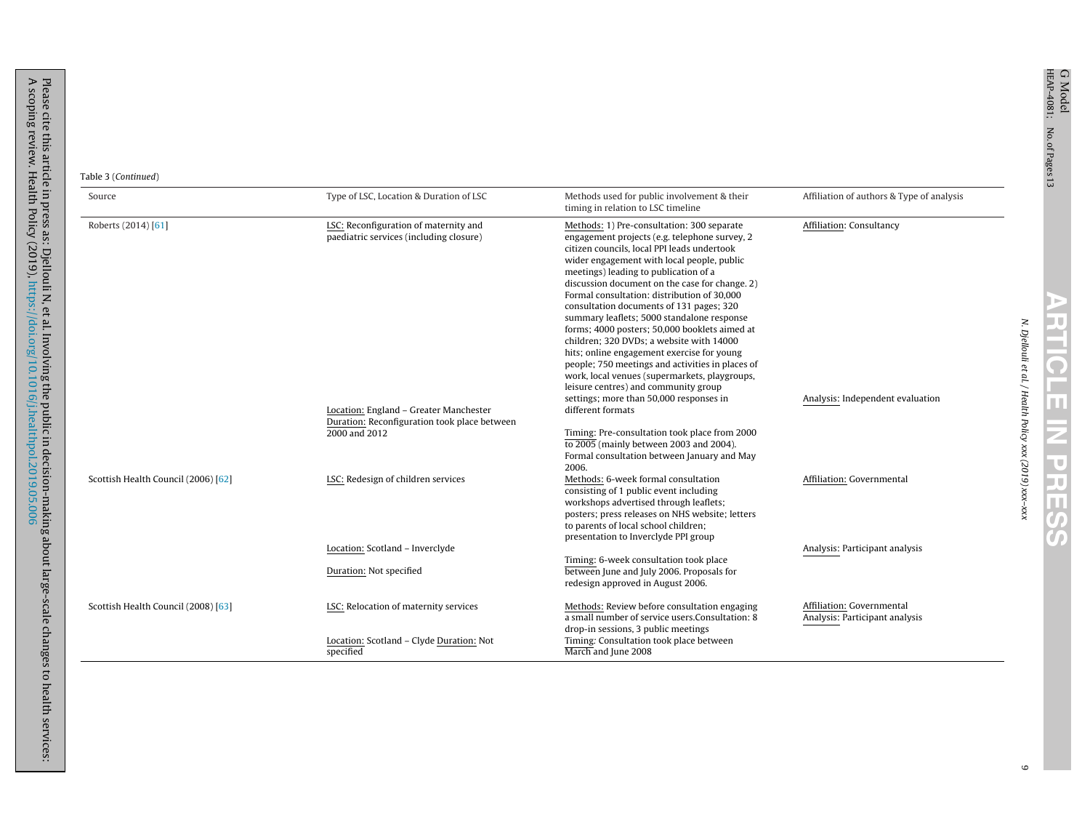| Table 3 (Continued)                 |                                                                                        |                                                                                                                                                                                                                                                                                                                                                                                                                                                                                                                                                                                                                                                                                                                      |                                                             |
|-------------------------------------|----------------------------------------------------------------------------------------|----------------------------------------------------------------------------------------------------------------------------------------------------------------------------------------------------------------------------------------------------------------------------------------------------------------------------------------------------------------------------------------------------------------------------------------------------------------------------------------------------------------------------------------------------------------------------------------------------------------------------------------------------------------------------------------------------------------------|-------------------------------------------------------------|
| Source                              | Type of LSC, Location & Duration of LSC                                                | Methods used for public involvement & their<br>timing in relation to LSC timeline                                                                                                                                                                                                                                                                                                                                                                                                                                                                                                                                                                                                                                    | Affiliation of authors & Type of analysis                   |
| Roberts (2014) [61]                 | LSC: Reconfiguration of maternity and<br>paediatric services (including closure)       | Methods: 1) Pre-consultation: 300 separate<br>engagement projects (e.g. telephone survey, 2<br>citizen councils, local PPI leads undertook<br>wider engagement with local people, public<br>meetings) leading to publication of a<br>discussion document on the case for change, 2)<br>Formal consultation: distribution of 30,000<br>consultation documents of 131 pages; 320<br>summary leaflets; 5000 standalone response<br>forms; 4000 posters; 50,000 booklets aimed at<br>children; 320 DVDs; a website with 14000<br>hits; online engagement exercise for young<br>people; 750 meetings and activities in places of<br>work, local venues (supermarkets, playgroups,<br>leisure centres) and community group | Affiliation: Consultancy                                    |
|                                     |                                                                                        | settings; more than 50,000 responses in                                                                                                                                                                                                                                                                                                                                                                                                                                                                                                                                                                                                                                                                              | Analysis: Independent evaluation                            |
|                                     | Location: England - Greater Manchester<br>Duration: Reconfiguration took place between | different formats                                                                                                                                                                                                                                                                                                                                                                                                                                                                                                                                                                                                                                                                                                    |                                                             |
|                                     | 2000 and 2012                                                                          | Timing: Pre-consultation took place from 2000<br>$\overline{10\,2005}$ (mainly between 2003 and 2004).<br>Formal consultation between January and May<br>2006.                                                                                                                                                                                                                                                                                                                                                                                                                                                                                                                                                       |                                                             |
| Scottish Health Council (2006) [62] | LSC: Redesign of children services                                                     | Methods: 6-week formal consultation<br>consisting of 1 public event including<br>workshops advertised through leaflets;<br>posters; press releases on NHS website; letters<br>to parents of local school children;<br>presentation to Inverclyde PPI group                                                                                                                                                                                                                                                                                                                                                                                                                                                           | Affiliation: Governmental                                   |
|                                     | Location: Scotland - Inverclyde                                                        |                                                                                                                                                                                                                                                                                                                                                                                                                                                                                                                                                                                                                                                                                                                      | Analysis: Participant analysis                              |
|                                     | Duration: Not specified                                                                | Timing: 6-week consultation took place<br>between June and July 2006. Proposals for<br>redesign approved in August 2006.                                                                                                                                                                                                                                                                                                                                                                                                                                                                                                                                                                                             |                                                             |
| Scottish Health Council (2008) [63] | LSC: Relocation of maternity services                                                  | Methods: Review before consultation engaging<br>a small number of service users.Consultation: 8<br>drop-in sessions, 3 public meetings                                                                                                                                                                                                                                                                                                                                                                                                                                                                                                                                                                               | Affiliation: Governmental<br>Analysis: Participant analysis |
|                                     | Location: Scotland - Clyde Duration: Not<br>specified                                  | Timing: Consultation took place between<br>March and June 2008                                                                                                                                                                                                                                                                                                                                                                                                                                                                                                                                                                                                                                                       |                                                             |

N. Djellouli et al. / Health

Policy xxx (2019)

xxx–xxx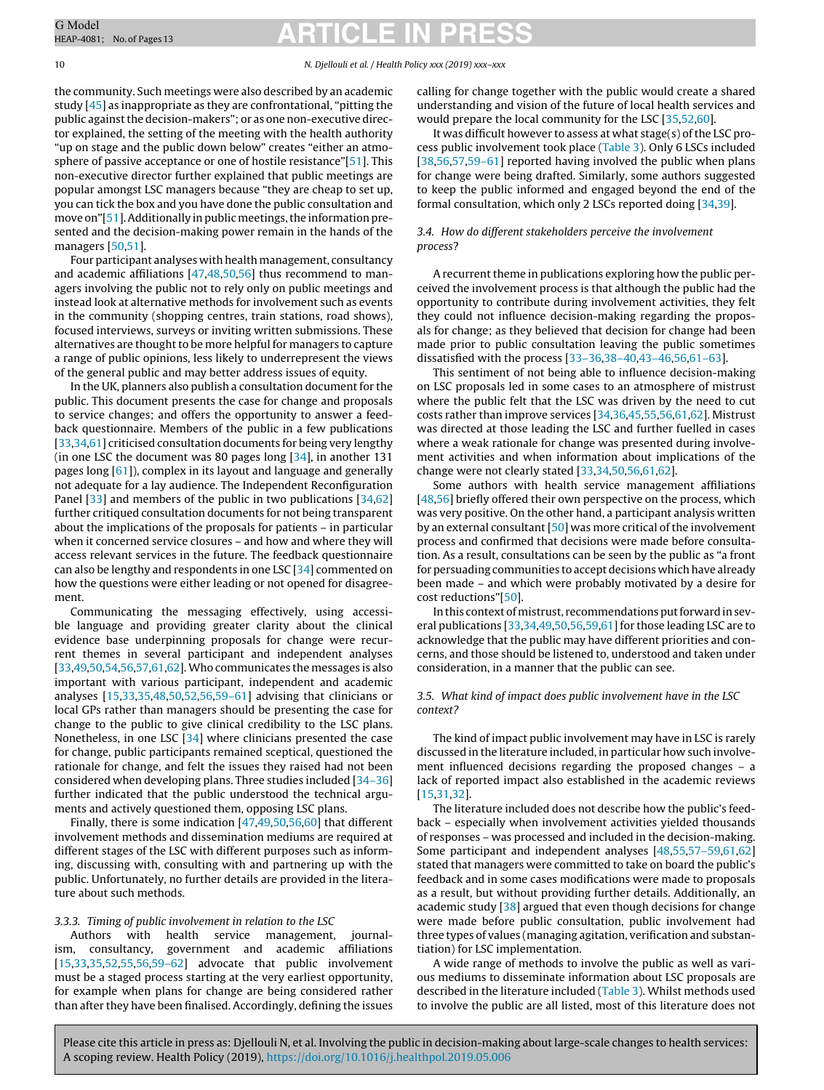#### 10 N. Djellouli et al. / Health Policy xxx (2019) xxx–xxx

the community. Such meetings were also described by an academic study [[45\]](#page-12-0) as inappropriate as they are confrontational, "pitting the public against the decision-makers"; or as one non-executive director explained, the setting of the meeting with the health authority "up on stage and the public down below" creates "either an atmosphere of passive acceptance or one of hostile resistance"[\[51\].](#page-12-0) This non-executive director further explained that public meetings are popular amongst LSC managers because "they are cheap to set up, you can tick the box and you have done the public consultation and move on"[[51\].](#page-12-0) Additionally in public meetings, the information presented and the decision-making power remain in the hands of the managers [\[50,51\].](#page-12-0)

Four participant analyses with health management, consultancy and academic affiliations [\[47,48,50,56\]](#page-12-0) thus recommend to managers involving the public not to rely only on public meetings and instead look at alternative methods for involvement such as events in the community (shopping centres, train stations, road shows), focused interviews, surveys or inviting written submissions. These alternatives are thought to be more helpful for managers to capture a range of public opinions, less likely to underrepresent the views of the general public and may better address issues of equity.

In the UK, planners also publish a consultation document for the public. This document presents the case for change and proposals to service changes; and offers the opportunity to answer a feedback questionnaire. Members of the public in a few publications [[33,34,](#page-11-0)[61\]](#page-12-0) criticised consultation documents for being very lengthy (in one LSC the document was 80 pages long [[34\],](#page-11-0) in another 131 pages long [[61\]\)](#page-12-0), complex in its layout and language and generally not adequate for a lay audience. The Independent Reconfiguration Panel [\[33\]](#page-11-0) and members of the public in two publications [\[34,](#page-11-0)[62\]](#page-12-0) further critiqued consultation documents for not being transparent about the implications of the proposals for patients – in particular when it concerned service closures – and how and where they will access relevant services in the future. The feedback questionnaire can also be lengthy and respondents in one LSC [\[34\]](#page-11-0) commented on how the questions were either leading or not opened for disagreement.

Communicating the messaging effectively, using accessible language and providing greater clarity about the clinical evidence base underpinning proposals for change were recurrent themes in several participant and independent analyses [[33,](#page-11-0)[49,50,54,56,57,61,62\].](#page-12-0) Who communicates the messages is also important with various participant, independent and academic analyses [[15,33,35,](#page-11-0)[48,50,52,56,59–61\]](#page-12-0) advising that clinicians or local GPs rather than managers should be presenting the case for change to the public to give clinical credibility to the LSC plans. Nonetheless, in one LSC [[34\]](#page-11-0) where clinicians presented the case for change, public participants remained sceptical, questioned the rationale for change, and felt the issues they raised had not been considered when developing plans. Three studies included [\[34–36\]](#page-11-0) further indicated that the public understood the technical arguments and actively questioned them, opposing LSC plans.

Finally, there is some indication [\[47,49,50,56,60\]](#page-12-0) that different involvement methods and dissemination mediums are required at different stages of the LSC with different purposes such as informing, discussing with, consulting with and partnering up with the public. Unfortunately, no further details are provided in the literature about such methods.

#### 3.3.3. Timing of public involvement in relation to the LSC

Authors with health service management, journalism, consultancy, government and academic affiliations [[15,33,35,](#page-11-0)[52,55,56,59–62\]](#page-12-0) advocate that public involvement must be a staged process starting at the very earliest opportunity, for example when plans for change are being considered rather than after they have been finalised. Accordingly, defining the issues

calling for change together with the public would create a shared understanding and vision of the future of local health services and would prepare the local community for the LSC [\[35,](#page-11-0)[52,60\].](#page-12-0)

It was difficult however to assess at what stage(s) of the LSC process public involvement took place [\(Table](#page-4-0) 3). Only 6 LSCs included [\[38,](#page-11-0)56,57,59-61] reported having involved the public when plans for change were being drafted. Similarly, some authors suggested to keep the public informed and engaged beyond the end of the formal consultation, which only 2 LSCs reported doing [[34,](#page-11-0)[39\].](#page-12-0)

### 3.4. How do different stakeholders perceive the involvement process?

A recurrent theme in publications exploring how the public perceived the involvement process is that although the public had the opportunity to contribute during involvement activities, they felt they could not influence decision-making regarding the proposals for change; as they believed that decision for change had been made prior to public consultation leaving the public sometimes dissatisfied with the process [[33–36,38–40,](#page-11-0)[43–46,56,61–63\].](#page-12-0)

This sentiment of not being able to influence decision-making on LSC proposals led in some cases to an atmosphere of mistrust where the public felt that the LSC was driven by the need to cut costs rather than improve services [\[34,36,](#page-11-0)[45,55,56,61,62\].](#page-12-0) Mistrust was directed at those leading the LSC and further fuelled in cases where a weak rationale for change was presented during involvement activities and when information about implications of the change were not clearly stated [[33,34,](#page-11-0)[50,56,61,62\].](#page-12-0)

Some authors with health service management affiliations [\[48,56\]](#page-12-0) briefly offered their own perspective on the process, which was very positive. On the other hand, a participant analysis written by an external consultant [\[50\]](#page-12-0) was more critical of the involvement process and confirmed that decisions were made before consultation. As a result, consultations can be seen by the public as "a front for persuading communities to accept decisions which have already been made – and which were probably motivated by a desire for cost reductions"[\[50\].](#page-12-0)

In this context of mistrust, recommendations put forward in several publications [[33,34,](#page-11-0)[49,50,56,59,61\]](#page-12-0) for those leading LSC are to acknowledge that the public may have different priorities and concerns, and those should be listened to, understood and taken under consideration, in a manner that the public can see.

### 3.5. What kind of impact does public involvement have in the LSC context?

The kind of impact public involvement may have in LSC is rarely discussed in the literature included, in particular how such involvement influenced decisions regarding the proposed changes – a lack of reported impact also established in the academic reviews [\[15,31,32\].](#page-11-0)

The literature included does not describe how the public's feedback – especially when involvement activities yielded thousands of responses – was processed and included in the decision-making. Some participant and independent analyses [[48,55,57–59,61,62\]](#page-12-0) stated that managers were committed to take on board the public's feedback and in some cases modifications were made to proposals as a result, but without providing further details. Additionally, an academic study [[38\]](#page-11-0) argued that even though decisions for change were made before public consultation, public involvement had three types of values (managing agitation, verification and substantiation) for LSC implementation.

A wide range of methods to involve the public as well as various mediums to disseminate information about LSC proposals are described in the literature included ([Table](#page-4-0) 3). Whilst methods used to involve the public are all listed, most of this literature does not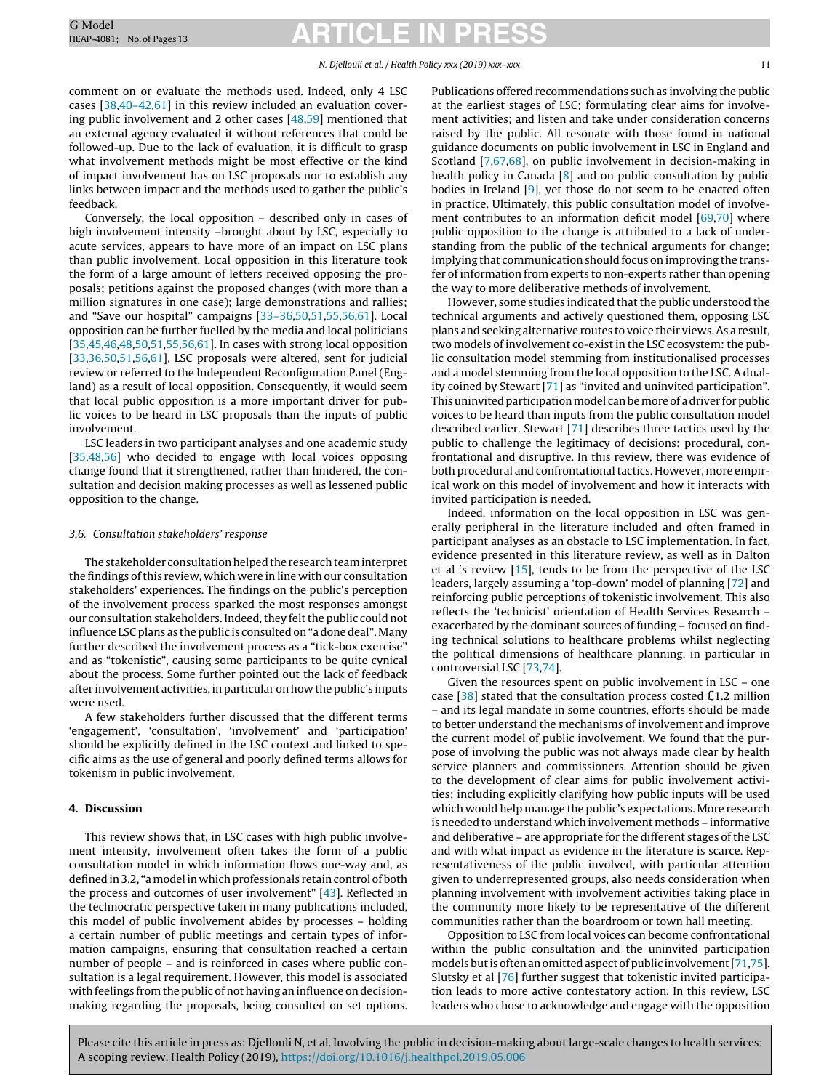#### N. Djellouli et al. / Health Policy xxx (2019) xxx–xxx 11

comment on or evaluate the methods used. Indeed, only 4 LSC cases [[38,](#page-11-0)[40–42,61\]](#page-12-0) in this review included an evaluation covering public involvement and 2 other cases [[48,59\]](#page-12-0) mentioned that an external agency evaluated it without references that could be followed-up. Due to the lack of evaluation, it is difficult to grasp what involvement methods might be most effective or the kind of impact involvement has on LSC proposals nor to establish any links between impact and the methods used to gather the public's feedback.

Conversely, the local opposition – described only in cases of high involvement intensity –brought about by LSC, especially to acute services, appears to have more of an impact on LSC plans than public involvement. Local opposition in this literature took the form of a large amount of letters received opposing the proposals; petitions against the proposed changes (with more than a million signatures in one case); large demonstrations and rallies; and "Save our hospital" campaigns [[33–36,](#page-11-0)[50,51,55,56,61\].](#page-12-0) Local opposition can be further fuelled by the media and local politicians [[35,](#page-11-0)[45,46,48,50,51,55,56,61\].](#page-12-0) In cases with strong local opposition [[33,36,](#page-11-0)[50,51,56,61\],](#page-12-0) LSC proposals were altered, sent for judicial review or referred to the Independent Reconfiguration Panel (England) as a result of local opposition. Consequently, it would seem that local public opposition is a more important driver for public voices to be heard in LSC proposals than the inputs of public involvement.

LSC leaders in two participant analyses and one academic study [[35,](#page-11-0)[48,56\]](#page-12-0) who decided to engage with local voices opposing change found that it strengthened, rather than hindered, the consultation and decision making processes as well as lessened public opposition to the change.

#### 3.6. Consultation stakeholders' response

The stakeholder consultation helped the research team interpret the findings ofthis review, which were in line with our consultation stakeholders' experiences. The findings on the public's perception of the involvement process sparked the most responses amongst our consultation stakeholders. Indeed, they felt the public could not influence LSC plans as the public is consulted on "a done deal". Many further described the involvement process as a "tick-box exercise" and as "tokenistic", causing some participants to be quite cynical about the process. Some further pointed out the lack of feedback after involvement activities, in particular on how the public's inputs were used.

A few stakeholders further discussed that the different terms 'engagement', 'consultation', 'involvement' and 'participation' should be explicitly defined in the LSC context and linked to specific aims as the use of general and poorly defined terms allows for tokenism in public involvement.

#### **4. Discussion**

This review shows that, in LSC cases with high public involvement intensity, involvement often takes the form of a public consultation model in which information flows one-way and, as defined in 3.2, "a model in which professionals retain control of both the process and outcomes of user involvement" [[43\].](#page-12-0) Reflected in the technocratic perspective taken in many publications included, this model of public involvement abides by processes – holding a certain number of public meetings and certain types of information campaigns, ensuring that consultation reached a certain number of people – and is reinforced in cases where public consultation is a legal requirement. However, this model is associated with feelings fromthe public of not having an influence on decisionmaking regarding the proposals, being consulted on set options. Publications offered recommendations such as involving the public at the earliest stages of LSC; formulating clear aims for involvement activities; and listen and take under consideration concerns raised by the public. All resonate with those found in national guidance documents on public involvement in LSC in England and Scotland [\[7,](#page-11-0)[67,68\],](#page-12-0) on public involvement in decision-making in health policy in Canada [[8\]](#page-11-0) and on public consultation by public bodies in Ireland [[9\],](#page-11-0) yet those do not seem to be enacted often in practice. Ultimately, this public consultation model of involve-ment contributes to an information deficit model [\[69,70\]](#page-12-0) where public opposition to the change is attributed to a lack of understanding from the public of the technical arguments for change; implying that communication should focus on improving the transfer of information from experts to non-experts rather than opening the way to more deliberative methods of involvement.

However, some studies indicated that the public understood the technical arguments and actively questioned them, opposing LSC plans and seeking alternative routes to voice their views.As a result, two models of involvement co-exist in the LSC ecosystem: the public consultation model stemming from institutionalised processes and a model stemming from the local opposition to the LSC. A duality coined by Stewart [\[71\]](#page-12-0) as "invited and uninvited participation". This uninvited participation model can be more of a driver for public voices to be heard than inputs from the public consultation model described earlier. Stewart [\[71\]](#page-12-0) describes three tactics used by the public to challenge the legitimacy of decisions: procedural, confrontational and disruptive. In this review, there was evidence of both procedural and confrontational tactics. However, more empirical work on this model of involvement and how it interacts with invited participation is needed.

Indeed, information on the local opposition in LSC was generally peripheral in the literature included and often framed in participant analyses as an obstacle to LSC implementation. In fact, evidence presented in this literature review, as well as in Dalton et al 's review [\[15\],](#page-11-0) tends to be from the perspective of the LSC leaders, largely assuming a 'top-down' model of planning [[72\]](#page-12-0) and reinforcing public perceptions of tokenistic involvement. This also reflects the 'technicist' orientation of Health Services Research – exacerbated by the dominant sources of funding – focused on finding technical solutions to healthcare problems whilst neglecting the political dimensions of healthcare planning, in particular in controversial LSC [[73,74\].](#page-12-0)

Given the resources spent on public involvement in LSC – one case  $[38]$  stated that the consultation process costed £1.2 million – and its legal mandate in some countries, efforts should be made to better understand the mechanisms of involvement and improve the current model of public involvement. We found that the purpose of involving the public was not always made clear by health service planners and commissioners. Attention should be given to the development of clear aims for public involvement activities; including explicitly clarifying how public inputs will be used which would help manage the public's expectations. More research is needed to understand which involvement methods – informative and deliberative – are appropriate for the different stages of the LSC and with what impact as evidence in the literature is scarce. Representativeness of the public involved, with particular attention given to underrepresented groups, also needs consideration when planning involvement with involvement activities taking place in the community more likely to be representative of the different communities rather than the boardroom or town hall meeting.

Opposition to LSC from local voices can become confrontational within the public consultation and the uninvited participation models but is often an omitted aspect of public involvement [[71,75\].](#page-12-0) Slutsky et al [\[76\]](#page-12-0) further suggest that tokenistic invited participation leads to more active contestatory action. In this review, LSC leaders who chose to acknowledge and engage with the opposition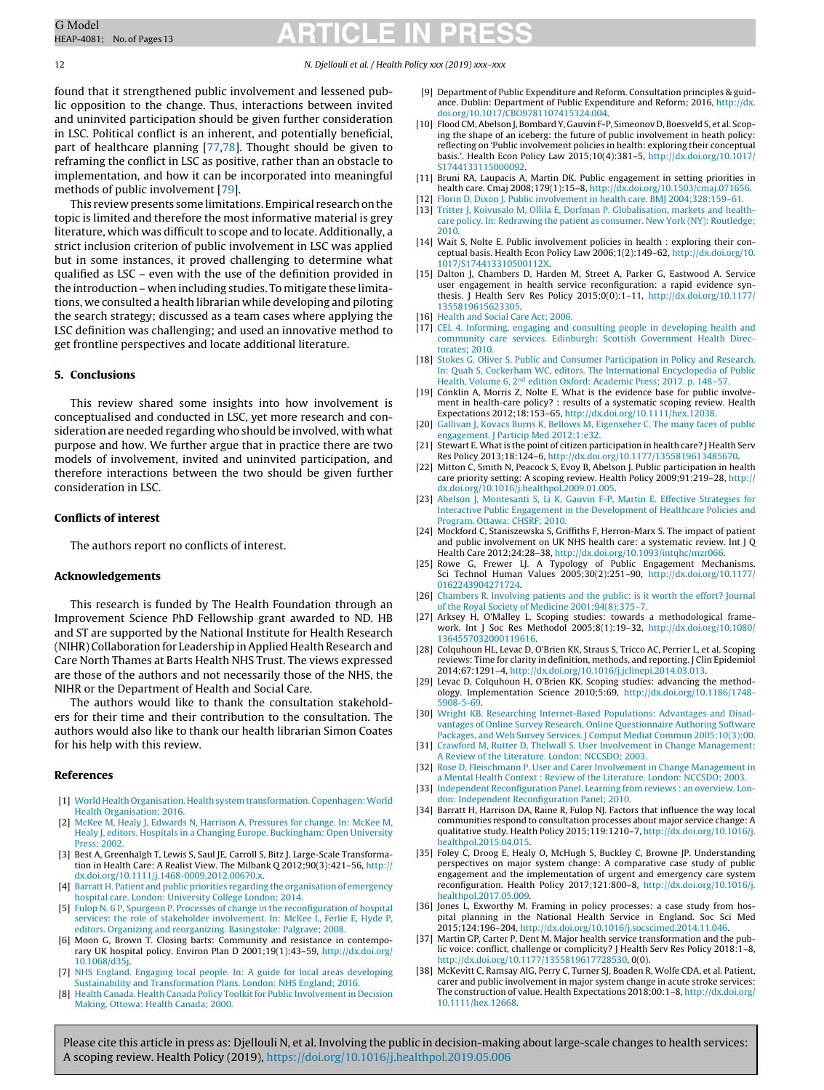12 N. Djellouli et al. / Health Policy xxx (2019) xxx–xxx

found that it strengthened public involvement and lessened public opposition to the change. Thus, interactions between invited and uninvited participation should be given further consideration in LSC. Political conflict is an inherent, and potentially beneficial, part of healthcare planning [\[77,78\].](#page-12-0) Thought should be given to reframing the conflict in LSC as positive, rather than an obstacle to implementation, and how it can be incorporated into meaningful methods of public involvement [\[79\].](#page-12-0)

This review presents some limitations. Empirical research on the topic is limited and therefore the most informative material is grey literature, which was difficult to scope and to locate. Additionally, a strict inclusion criterion of public involvement in LSC was applied but in some instances, it proved challenging to determine what qualified as LSC – even with the use of the definition provided in the introduction – when including studies. To mitigate these limitations, we consulted a health librarian while developing and piloting the search strategy; discussed as a team cases where applying the LSC definition was challenging; and used an innovative method to get frontline perspectives and locate additional literature.

#### **5. Conclusions**

This review shared some insights into how involvement is conceptualised and conducted in LSC, yet more research and consideration are needed regarding who should be involved, with what purpose and how. We further argue that in practice there are two models of involvement, invited and uninvited participation, and therefore interactions between the two should be given further consideration in LSC.

#### **Conflicts of interest**

The authors report no conflicts of interest.

#### **Acknowledgements**

This research is funded by The Health Foundation through an Improvement Science PhD Fellowship grant awarded to ND. HB and ST are supported by the National Institute for Health Research (NIHR) Collaboration for Leadership inApplied Health Research and Care North Thames at Barts Health NHS Trust. The views expressed are those of the authors and not necessarily those of the NHS, the NIHR or the Department of Health and Social Care.

The authors would like to thank the consultation stakeholders for their time and their contribution to the consultation. The authors would also like to thank our health librarian Simon Coates for his help with this review.

#### **References**

- [1] [World](http://refhub.elsevier.com/S0168-8510(19)30113-7/sbref0005) [Health](http://refhub.elsevier.com/S0168-8510(19)30113-7/sbref0005) [Organisation.](http://refhub.elsevier.com/S0168-8510(19)30113-7/sbref0005) Health system transformation. Copenhagen: World [Health](http://refhub.elsevier.com/S0168-8510(19)30113-7/sbref0005) [Organisation;](http://refhub.elsevier.com/S0168-8510(19)30113-7/sbref0005) [2016.](http://refhub.elsevier.com/S0168-8510(19)30113-7/sbref0005)
- [2] [McKee](http://refhub.elsevier.com/S0168-8510(19)30113-7/sbref0010) [M,](http://refhub.elsevier.com/S0168-8510(19)30113-7/sbref0010) [Healy](http://refhub.elsevier.com/S0168-8510(19)30113-7/sbref0010) [J,](http://refhub.elsevier.com/S0168-8510(19)30113-7/sbref0010) [Edwards](http://refhub.elsevier.com/S0168-8510(19)30113-7/sbref0010) [N,](http://refhub.elsevier.com/S0168-8510(19)30113-7/sbref0010) [Harrison](http://refhub.elsevier.com/S0168-8510(19)30113-7/sbref0010) [A.](http://refhub.elsevier.com/S0168-8510(19)30113-7/sbref0010) [Pressures](http://refhub.elsevier.com/S0168-8510(19)30113-7/sbref0010) [for](http://refhub.elsevier.com/S0168-8510(19)30113-7/sbref0010) [change.](http://refhub.elsevier.com/S0168-8510(19)30113-7/sbref0010) [In:](http://refhub.elsevier.com/S0168-8510(19)30113-7/sbref0010) [McKee](http://refhub.elsevier.com/S0168-8510(19)30113-7/sbref0010) [M,](http://refhub.elsevier.com/S0168-8510(19)30113-7/sbref0010) [Healy](http://refhub.elsevier.com/S0168-8510(19)30113-7/sbref0010) [J,](http://refhub.elsevier.com/S0168-8510(19)30113-7/sbref0010) [editors.](http://refhub.elsevier.com/S0168-8510(19)30113-7/sbref0010) [Hospitals](http://refhub.elsevier.com/S0168-8510(19)30113-7/sbref0010) [in](http://refhub.elsevier.com/S0168-8510(19)30113-7/sbref0010) [a](http://refhub.elsevier.com/S0168-8510(19)30113-7/sbref0010) [Changing](http://refhub.elsevier.com/S0168-8510(19)30113-7/sbref0010) [Europe.](http://refhub.elsevier.com/S0168-8510(19)30113-7/sbref0010) [Buckingham:](http://refhub.elsevier.com/S0168-8510(19)30113-7/sbref0010) [Open](http://refhub.elsevier.com/S0168-8510(19)30113-7/sbref0010) [University](http://refhub.elsevier.com/S0168-8510(19)30113-7/sbref0010) [Press;](http://refhub.elsevier.com/S0168-8510(19)30113-7/sbref0010) [2002.](http://refhub.elsevier.com/S0168-8510(19)30113-7/sbref0010)
- [3] Best A, Greenhalgh T, Lewis S, Saul JE, Carroll S, Bitz J. Large-Scale Transformation in Health Care: A Realist View. The Milbank Q 2012;90(3):421–56, [http://](dx.doi.org/10.1111/j.1468-0009.2012.00670.x) [dx.doi.org/10.1111/j.1468-0009.2012.00670.x.](dx.doi.org/10.1111/j.1468-0009.2012.00670.x)
- [4] [Barratt](http://refhub.elsevier.com/S0168-8510(19)30113-7/sbref0020) [H.](http://refhub.elsevier.com/S0168-8510(19)30113-7/sbref0020) [Patient](http://refhub.elsevier.com/S0168-8510(19)30113-7/sbref0020) [and](http://refhub.elsevier.com/S0168-8510(19)30113-7/sbref0020) [public](http://refhub.elsevier.com/S0168-8510(19)30113-7/sbref0020) [priorities](http://refhub.elsevier.com/S0168-8510(19)30113-7/sbref0020) [regarding](http://refhub.elsevier.com/S0168-8510(19)30113-7/sbref0020) [the](http://refhub.elsevier.com/S0168-8510(19)30113-7/sbref0020) [organisation](http://refhub.elsevier.com/S0168-8510(19)30113-7/sbref0020) [of](http://refhub.elsevier.com/S0168-8510(19)30113-7/sbref0020) [emergency](http://refhub.elsevier.com/S0168-8510(19)30113-7/sbref0020) [hospital](http://refhub.elsevier.com/S0168-8510(19)30113-7/sbref0020) [care.](http://refhub.elsevier.com/S0168-8510(19)30113-7/sbref0020) [London:](http://refhub.elsevier.com/S0168-8510(19)30113-7/sbref0020) [University](http://refhub.elsevier.com/S0168-8510(19)30113-7/sbref0020) [College](http://refhub.elsevier.com/S0168-8510(19)30113-7/sbref0020) [London;](http://refhub.elsevier.com/S0168-8510(19)30113-7/sbref0020) [2014.](http://refhub.elsevier.com/S0168-8510(19)30113-7/sbref0020)
- [5] [Fulop](http://refhub.elsevier.com/S0168-8510(19)30113-7/sbref0025) [N.](http://refhub.elsevier.com/S0168-8510(19)30113-7/sbref0025) [6](http://refhub.elsevier.com/S0168-8510(19)30113-7/sbref0025) [P,](http://refhub.elsevier.com/S0168-8510(19)30113-7/sbref0025) [Spurgeon](http://refhub.elsevier.com/S0168-8510(19)30113-7/sbref0025) [P.](http://refhub.elsevier.com/S0168-8510(19)30113-7/sbref0025) [Processes](http://refhub.elsevier.com/S0168-8510(19)30113-7/sbref0025) [of](http://refhub.elsevier.com/S0168-8510(19)30113-7/sbref0025) [change](http://refhub.elsevier.com/S0168-8510(19)30113-7/sbref0025) [in](http://refhub.elsevier.com/S0168-8510(19)30113-7/sbref0025) [the](http://refhub.elsevier.com/S0168-8510(19)30113-7/sbref0025) [reconfiguration](http://refhub.elsevier.com/S0168-8510(19)30113-7/sbref0025) [of](http://refhub.elsevier.com/S0168-8510(19)30113-7/sbref0025) [hospital](http://refhub.elsevier.com/S0168-8510(19)30113-7/sbref0025) [services:](http://refhub.elsevier.com/S0168-8510(19)30113-7/sbref0025) [the](http://refhub.elsevier.com/S0168-8510(19)30113-7/sbref0025) [role](http://refhub.elsevier.com/S0168-8510(19)30113-7/sbref0025) [of](http://refhub.elsevier.com/S0168-8510(19)30113-7/sbref0025) [stakeholder](http://refhub.elsevier.com/S0168-8510(19)30113-7/sbref0025) [involvement.](http://refhub.elsevier.com/S0168-8510(19)30113-7/sbref0025) [In:](http://refhub.elsevier.com/S0168-8510(19)30113-7/sbref0025) [McKee](http://refhub.elsevier.com/S0168-8510(19)30113-7/sbref0025) [L,](http://refhub.elsevier.com/S0168-8510(19)30113-7/sbref0025) [Ferlie](http://refhub.elsevier.com/S0168-8510(19)30113-7/sbref0025) [E,](http://refhub.elsevier.com/S0168-8510(19)30113-7/sbref0025) [Hyde](http://refhub.elsevier.com/S0168-8510(19)30113-7/sbref0025) [P,](http://refhub.elsevier.com/S0168-8510(19)30113-7/sbref0025) [editors.](http://refhub.elsevier.com/S0168-8510(19)30113-7/sbref0025) [Organizing](http://refhub.elsevier.com/S0168-8510(19)30113-7/sbref0025) [and](http://refhub.elsevier.com/S0168-8510(19)30113-7/sbref0025) [reorganizing.](http://refhub.elsevier.com/S0168-8510(19)30113-7/sbref0025) [Basingstoke:](http://refhub.elsevier.com/S0168-8510(19)30113-7/sbref0025) [Palgrave;](http://refhub.elsevier.com/S0168-8510(19)30113-7/sbref0025) [2008.](http://refhub.elsevier.com/S0168-8510(19)30113-7/sbref0025)
- [6] Moon G, Brown T. Closing barts: Community and resistance in contemporary UK hospital policy. Environ Plan D 2001;19(1):43–59, [http://dx.doi.org/](dx.doi.org/10.1068/d35j) [10.1068/d35j.](dx.doi.org/10.1068/d35j)
- [7] [NHS](http://refhub.elsevier.com/S0168-8510(19)30113-7/sbref0035) [England.](http://refhub.elsevier.com/S0168-8510(19)30113-7/sbref0035) [Engaging](http://refhub.elsevier.com/S0168-8510(19)30113-7/sbref0035) [local](http://refhub.elsevier.com/S0168-8510(19)30113-7/sbref0035) [people.](http://refhub.elsevier.com/S0168-8510(19)30113-7/sbref0035) [In:](http://refhub.elsevier.com/S0168-8510(19)30113-7/sbref0035) [A](http://refhub.elsevier.com/S0168-8510(19)30113-7/sbref0035) [guide](http://refhub.elsevier.com/S0168-8510(19)30113-7/sbref0035) [for](http://refhub.elsevier.com/S0168-8510(19)30113-7/sbref0035) [local](http://refhub.elsevier.com/S0168-8510(19)30113-7/sbref0035) [areas](http://refhub.elsevier.com/S0168-8510(19)30113-7/sbref0035) [developing](http://refhub.elsevier.com/S0168-8510(19)30113-7/sbref0035) [Sustainability](http://refhub.elsevier.com/S0168-8510(19)30113-7/sbref0035) [and](http://refhub.elsevier.com/S0168-8510(19)30113-7/sbref0035) [Transformation](http://refhub.elsevier.com/S0168-8510(19)30113-7/sbref0035) [Plans.](http://refhub.elsevier.com/S0168-8510(19)30113-7/sbref0035) [London:](http://refhub.elsevier.com/S0168-8510(19)30113-7/sbref0035) [NHS](http://refhub.elsevier.com/S0168-8510(19)30113-7/sbref0035) [England;](http://refhub.elsevier.com/S0168-8510(19)30113-7/sbref0035) [2016.](http://refhub.elsevier.com/S0168-8510(19)30113-7/sbref0035)
- [8] [Health](http://refhub.elsevier.com/S0168-8510(19)30113-7/sbref0040) [Canada.](http://refhub.elsevier.com/S0168-8510(19)30113-7/sbref0040) [Health](http://refhub.elsevier.com/S0168-8510(19)30113-7/sbref0040) [Canada](http://refhub.elsevier.com/S0168-8510(19)30113-7/sbref0040) [Policy](http://refhub.elsevier.com/S0168-8510(19)30113-7/sbref0040) [Toolkitfor](http://refhub.elsevier.com/S0168-8510(19)30113-7/sbref0040) [Public](http://refhub.elsevier.com/S0168-8510(19)30113-7/sbref0040) [Involvementin](http://refhub.elsevier.com/S0168-8510(19)30113-7/sbref0040) [Decision](http://refhub.elsevier.com/S0168-8510(19)30113-7/sbref0040) [Making.](http://refhub.elsevier.com/S0168-8510(19)30113-7/sbref0040) [Ottowa:](http://refhub.elsevier.com/S0168-8510(19)30113-7/sbref0040) [Health](http://refhub.elsevier.com/S0168-8510(19)30113-7/sbref0040) [Canada;](http://refhub.elsevier.com/S0168-8510(19)30113-7/sbref0040) [2000.](http://refhub.elsevier.com/S0168-8510(19)30113-7/sbref0040)
- [9] Department of Public Expenditure and Reform. Consultation principles & guidance. Dublin: Department of Public Expenditure and Reform; 2016, [http://dx.](dx.doi.org/10.1017/CBO9781107415324.004) [doi.org/10.1017/CBO9781107415324.004.](dx.doi.org/10.1017/CBO9781107415324.004)
- [10] Flood CM, Abelson J, Bombard Y, Gauvin F-P, Simeonov D, Boesveld S, et al. Scoping the shape of an iceberg: the future of public involvement in heath policy: reflecting on 'Public involvement policies in health: exploring their conceptual basis.'. Health Econ Policy Law 2015;10(4):381–5, [http://dx.doi.org/10.1017/](dx.doi.org/10.1017/S1744133115000092) [S1744133115000092](dx.doi.org/10.1017/S1744133115000092).
- [11] Bruni RA, Laupacis A, Martin DK. Public engagement in setting priorities in health care. Cmaj 2008;179(1):15–8, [http://dx.doi.org/10.1503/cmaj.071656.](dx.doi.org/10.1503/cmaj.071656)
- [12] [Florin](http://refhub.elsevier.com/S0168-8510(19)30113-7/sbref0060) [D,](http://refhub.elsevier.com/S0168-8510(19)30113-7/sbref0060) [Dixon](http://refhub.elsevier.com/S0168-8510(19)30113-7/sbref0060) [J.](http://refhub.elsevier.com/S0168-8510(19)30113-7/sbref0060) [Public](http://refhub.elsevier.com/S0168-8510(19)30113-7/sbref0060) [involvement](http://refhub.elsevier.com/S0168-8510(19)30113-7/sbref0060) [in](http://refhub.elsevier.com/S0168-8510(19)30113-7/sbref0060) [health](http://refhub.elsevier.com/S0168-8510(19)30113-7/sbref0060) [care.](http://refhub.elsevier.com/S0168-8510(19)30113-7/sbref0060) [BMJ](http://refhub.elsevier.com/S0168-8510(19)30113-7/sbref0060) [2004;328:159–61.](http://refhub.elsevier.com/S0168-8510(19)30113-7/sbref0060) [13] [Tritter](http://refhub.elsevier.com/S0168-8510(19)30113-7/sbref0065) [J,](http://refhub.elsevier.com/S0168-8510(19)30113-7/sbref0065) [Koivusalo](http://refhub.elsevier.com/S0168-8510(19)30113-7/sbref0065) [M,](http://refhub.elsevier.com/S0168-8510(19)30113-7/sbref0065) [Ollila](http://refhub.elsevier.com/S0168-8510(19)30113-7/sbref0065) [E,](http://refhub.elsevier.com/S0168-8510(19)30113-7/sbref0065) [Dorfman](http://refhub.elsevier.com/S0168-8510(19)30113-7/sbref0065) [P.](http://refhub.elsevier.com/S0168-8510(19)30113-7/sbref0065) [Globalisation,](http://refhub.elsevier.com/S0168-8510(19)30113-7/sbref0065) [markets](http://refhub.elsevier.com/S0168-8510(19)30113-7/sbref0065) [and](http://refhub.elsevier.com/S0168-8510(19)30113-7/sbref0065) [health](http://refhub.elsevier.com/S0168-8510(19)30113-7/sbref0065)[care](http://refhub.elsevier.com/S0168-8510(19)30113-7/sbref0065) [policy.](http://refhub.elsevier.com/S0168-8510(19)30113-7/sbref0065) [In:](http://refhub.elsevier.com/S0168-8510(19)30113-7/sbref0065) [Redrawing](http://refhub.elsevier.com/S0168-8510(19)30113-7/sbref0065) [the](http://refhub.elsevier.com/S0168-8510(19)30113-7/sbref0065) [patient](http://refhub.elsevier.com/S0168-8510(19)30113-7/sbref0065) [as](http://refhub.elsevier.com/S0168-8510(19)30113-7/sbref0065) [consumer.](http://refhub.elsevier.com/S0168-8510(19)30113-7/sbref0065) [New](http://refhub.elsevier.com/S0168-8510(19)30113-7/sbref0065) [York](http://refhub.elsevier.com/S0168-8510(19)30113-7/sbref0065) [\(NY\):](http://refhub.elsevier.com/S0168-8510(19)30113-7/sbref0065) [Routledge;](http://refhub.elsevier.com/S0168-8510(19)30113-7/sbref0065) [2010.](http://refhub.elsevier.com/S0168-8510(19)30113-7/sbref0065)
- [14] Wait S, Nolte E. Public involvement policies in health : exploring their conceptual basis. Health Econ Policy Law 2006;1(2):149–62, [http://dx.doi.org/10.](dx.doi.org/10.1017/S174413310500112X) [1017/S174413310500112X.](dx.doi.org/10.1017/S174413310500112X)
- [15] Dalton J, Chambers D, Harden M, Street A, Parker G, Eastwood A. Service user engagement in health service reconfiguration: a rapid evidence synthesis. J Health Serv Res Policy 2015;0(0):1–11, [http://dx.doi.org/10.1177/](dx.doi.org/10.1177/1355819615623305) [1355819615623305.](dx.doi.org/10.1177/1355819615623305)
- [16] [Health](http://refhub.elsevier.com/S0168-8510(19)30113-7/sbref0080) [and](http://refhub.elsevier.com/S0168-8510(19)30113-7/sbref0080) [Social](http://refhub.elsevier.com/S0168-8510(19)30113-7/sbref0080) [Care](http://refhub.elsevier.com/S0168-8510(19)30113-7/sbref0080) [Act;](http://refhub.elsevier.com/S0168-8510(19)30113-7/sbref0080) [2006.](http://refhub.elsevier.com/S0168-8510(19)30113-7/sbref0080)
- [17] [CEL](http://refhub.elsevier.com/S0168-8510(19)30113-7/sbref0085) [4.](http://refhub.elsevier.com/S0168-8510(19)30113-7/sbref0085) [Informing,](http://refhub.elsevier.com/S0168-8510(19)30113-7/sbref0085) [engaging](http://refhub.elsevier.com/S0168-8510(19)30113-7/sbref0085) [and](http://refhub.elsevier.com/S0168-8510(19)30113-7/sbref0085) [consulting](http://refhub.elsevier.com/S0168-8510(19)30113-7/sbref0085) [people](http://refhub.elsevier.com/S0168-8510(19)30113-7/sbref0085) [in](http://refhub.elsevier.com/S0168-8510(19)30113-7/sbref0085) [developing](http://refhub.elsevier.com/S0168-8510(19)30113-7/sbref0085) [health](http://refhub.elsevier.com/S0168-8510(19)30113-7/sbref0085) [and](http://refhub.elsevier.com/S0168-8510(19)30113-7/sbref0085) [community](http://refhub.elsevier.com/S0168-8510(19)30113-7/sbref0085) [care](http://refhub.elsevier.com/S0168-8510(19)30113-7/sbref0085) [services.](http://refhub.elsevier.com/S0168-8510(19)30113-7/sbref0085) [Edinburgh:](http://refhub.elsevier.com/S0168-8510(19)30113-7/sbref0085) [Scottish](http://refhub.elsevier.com/S0168-8510(19)30113-7/sbref0085) [Government](http://refhub.elsevier.com/S0168-8510(19)30113-7/sbref0085) [Health](http://refhub.elsevier.com/S0168-8510(19)30113-7/sbref0085) [Direc](http://refhub.elsevier.com/S0168-8510(19)30113-7/sbref0085)[torates;](http://refhub.elsevier.com/S0168-8510(19)30113-7/sbref0085) [2010.](http://refhub.elsevier.com/S0168-8510(19)30113-7/sbref0085)
- [18] [Stokes](http://refhub.elsevier.com/S0168-8510(19)30113-7/sbref0090) [G.](http://refhub.elsevier.com/S0168-8510(19)30113-7/sbref0090) [Oliver](http://refhub.elsevier.com/S0168-8510(19)30113-7/sbref0090) [S.](http://refhub.elsevier.com/S0168-8510(19)30113-7/sbref0090) [Public](http://refhub.elsevier.com/S0168-8510(19)30113-7/sbref0090) [and](http://refhub.elsevier.com/S0168-8510(19)30113-7/sbref0090) [Consumer](http://refhub.elsevier.com/S0168-8510(19)30113-7/sbref0090) [Participation](http://refhub.elsevier.com/S0168-8510(19)30113-7/sbref0090) [in](http://refhub.elsevier.com/S0168-8510(19)30113-7/sbref0090) [Policy](http://refhub.elsevier.com/S0168-8510(19)30113-7/sbref0090) and [Research.](http://refhub.elsevier.com/S0168-8510(19)30113-7/sbref0090) [In:](http://refhub.elsevier.com/S0168-8510(19)30113-7/sbref0090) [Quah](http://refhub.elsevier.com/S0168-8510(19)30113-7/sbref0090) [S,](http://refhub.elsevier.com/S0168-8510(19)30113-7/sbref0090) [Cockerham](http://refhub.elsevier.com/S0168-8510(19)30113-7/sbref0090) [WC,](http://refhub.elsevier.com/S0168-8510(19)30113-7/sbref0090) [editors.](http://refhub.elsevier.com/S0168-8510(19)30113-7/sbref0090) [The](http://refhub.elsevier.com/S0168-8510(19)30113-7/sbref0090) [International](http://refhub.elsevier.com/S0168-8510(19)30113-7/sbref0090) [Encyclopedia](http://refhub.elsevier.com/S0168-8510(19)30113-7/sbref0090) [of](http://refhub.elsevier.com/S0168-8510(19)30113-7/sbref0090) [Public](http://refhub.elsevier.com/S0168-8510(19)30113-7/sbref0090) [Health,](http://refhub.elsevier.com/S0168-8510(19)30113-7/sbref0090) [Volume](http://refhub.elsevier.com/S0168-8510(19)30113-7/sbref0090) [6,](http://refhub.elsevier.com/S0168-8510(19)30113-7/sbref0090) 2<sup>nd</sup> [edition](http://refhub.elsevier.com/S0168-8510(19)30113-7/sbref0090) [Oxford:](http://refhub.elsevier.com/S0168-8510(19)30113-7/sbref0090) [Academic](http://refhub.elsevier.com/S0168-8510(19)30113-7/sbref0090) [Press;](http://refhub.elsevier.com/S0168-8510(19)30113-7/sbref0090) [2017.](http://refhub.elsevier.com/S0168-8510(19)30113-7/sbref0090) [p.](http://refhub.elsevier.com/S0168-8510(19)30113-7/sbref0090) 148-5<sup>.</sup>
- [19] Conklin A, Morris Z, Nolte E. What is the evidence base for public involvement in health-care policy? : results of a systematic scoping review. Health Expectations 2012;18:153–65, [http://dx.doi.org/10.1111/hex.12038.](dx.doi.org/10.1111/hex.12038)
- [20] [Gallivan](http://refhub.elsevier.com/S0168-8510(19)30113-7/sbref0100) [J,](http://refhub.elsevier.com/S0168-8510(19)30113-7/sbref0100) [Kovacs](http://refhub.elsevier.com/S0168-8510(19)30113-7/sbref0100) [Burns](http://refhub.elsevier.com/S0168-8510(19)30113-7/sbref0100) [K,](http://refhub.elsevier.com/S0168-8510(19)30113-7/sbref0100) [Bellows](http://refhub.elsevier.com/S0168-8510(19)30113-7/sbref0100) [M,](http://refhub.elsevier.com/S0168-8510(19)30113-7/sbref0100) [Eigenseher](http://refhub.elsevier.com/S0168-8510(19)30113-7/sbref0100) [C.](http://refhub.elsevier.com/S0168-8510(19)30113-7/sbref0100) [The](http://refhub.elsevier.com/S0168-8510(19)30113-7/sbref0100) [many](http://refhub.elsevier.com/S0168-8510(19)30113-7/sbref0100) [faces](http://refhub.elsevier.com/S0168-8510(19)30113-7/sbref0100) [of](http://refhub.elsevier.com/S0168-8510(19)30113-7/sbref0100) [public](http://refhub.elsevier.com/S0168-8510(19)30113-7/sbref0100) [engagement.](http://refhub.elsevier.com/S0168-8510(19)30113-7/sbref0100) [J](http://refhub.elsevier.com/S0168-8510(19)30113-7/sbref0100) [Particip](http://refhub.elsevier.com/S0168-8510(19)30113-7/sbref0100) [Med](http://refhub.elsevier.com/S0168-8510(19)30113-7/sbref0100) [2012;1:e32.](http://refhub.elsevier.com/S0168-8510(19)30113-7/sbref0100)
- [21] Stewart E. What is the point of citizen participation in health care? J Health Serv Res Policy 2013;18:124–6, [http://dx.doi.org/10.1177/1355819613485670.](dx.doi.org/10.1177/1355819613485670)
- [22] Mitton C, Smith N, Peacock S, Evoy B, Abelson J. Public participation in health care priority setting: A scoping review. Health Policy 2009;91:219–28, [http://](dx.doi.org/10.1016/j.healthpol.2009.01.005) <dx.doi.org/10.1016/j.healthpol.2009.01.005>.
- [23] [Abelson](http://refhub.elsevier.com/S0168-8510(19)30113-7/sbref0115) [J,](http://refhub.elsevier.com/S0168-8510(19)30113-7/sbref0115) [Montesanti](http://refhub.elsevier.com/S0168-8510(19)30113-7/sbref0115) [S,](http://refhub.elsevier.com/S0168-8510(19)30113-7/sbref0115) [Li](http://refhub.elsevier.com/S0168-8510(19)30113-7/sbref0115) [K,](http://refhub.elsevier.com/S0168-8510(19)30113-7/sbref0115) [Gauvin](http://refhub.elsevier.com/S0168-8510(19)30113-7/sbref0115) [F-P,](http://refhub.elsevier.com/S0168-8510(19)30113-7/sbref0115) [Martin](http://refhub.elsevier.com/S0168-8510(19)30113-7/sbref0115) [E.](http://refhub.elsevier.com/S0168-8510(19)30113-7/sbref0115) [Effective](http://refhub.elsevier.com/S0168-8510(19)30113-7/sbref0115) [Strategies](http://refhub.elsevier.com/S0168-8510(19)30113-7/sbref0115) [for](http://refhub.elsevier.com/S0168-8510(19)30113-7/sbref0115) [Interactive](http://refhub.elsevier.com/S0168-8510(19)30113-7/sbref0115) [Public](http://refhub.elsevier.com/S0168-8510(19)30113-7/sbref0115) [Engagement](http://refhub.elsevier.com/S0168-8510(19)30113-7/sbref0115) [in](http://refhub.elsevier.com/S0168-8510(19)30113-7/sbref0115) [the](http://refhub.elsevier.com/S0168-8510(19)30113-7/sbref0115) [Development](http://refhub.elsevier.com/S0168-8510(19)30113-7/sbref0115) [of](http://refhub.elsevier.com/S0168-8510(19)30113-7/sbref0115) [Healthcare](http://refhub.elsevier.com/S0168-8510(19)30113-7/sbref0115) [Policies](http://refhub.elsevier.com/S0168-8510(19)30113-7/sbref0115) [and](http://refhub.elsevier.com/S0168-8510(19)30113-7/sbref0115) [Program.](http://refhub.elsevier.com/S0168-8510(19)30113-7/sbref0115) [Ottawa:](http://refhub.elsevier.com/S0168-8510(19)30113-7/sbref0115) [CHSRF;](http://refhub.elsevier.com/S0168-8510(19)30113-7/sbref0115) [2010.](http://refhub.elsevier.com/S0168-8510(19)30113-7/sbref0115)
- [24] Mockford C, Staniszewska S, Griffiths F, Herron-Marx S. The impact of patient and public involvement on UK NHS health care: a systematic review. Int J Q Health Care 2012;24:28–38, [http://dx.doi.org/10.1093/intqhc/mzr066](dx.doi.org/10.1093/intqhc/mzr066).
- [25] Rowe G, Frewer LJ. A Typology of Public Engagement Mechanisms. Sci Technol Human Values 2005;30(2):251–90, [http://dx.doi.org/10.1177/](dx.doi.org/10.1177/0162243904271724) [0162243904271724.](dx.doi.org/10.1177/0162243904271724)
- [26] [Chambers](http://refhub.elsevier.com/S0168-8510(19)30113-7/sbref0130) [R.](http://refhub.elsevier.com/S0168-8510(19)30113-7/sbref0130) [Involving](http://refhub.elsevier.com/S0168-8510(19)30113-7/sbref0130) [patients](http://refhub.elsevier.com/S0168-8510(19)30113-7/sbref0130) [and](http://refhub.elsevier.com/S0168-8510(19)30113-7/sbref0130) [the](http://refhub.elsevier.com/S0168-8510(19)30113-7/sbref0130) [public:](http://refhub.elsevier.com/S0168-8510(19)30113-7/sbref0130) [is](http://refhub.elsevier.com/S0168-8510(19)30113-7/sbref0130) [it](http://refhub.elsevier.com/S0168-8510(19)30113-7/sbref0130) [worth](http://refhub.elsevier.com/S0168-8510(19)30113-7/sbref0130) [the](http://refhub.elsevier.com/S0168-8510(19)30113-7/sbref0130) [effort?](http://refhub.elsevier.com/S0168-8510(19)30113-7/sbref0130) [Journal](http://refhub.elsevier.com/S0168-8510(19)30113-7/sbref0130) [of](http://refhub.elsevier.com/S0168-8510(19)30113-7/sbref0130) [the](http://refhub.elsevier.com/S0168-8510(19)30113-7/sbref0130) [Royal](http://refhub.elsevier.com/S0168-8510(19)30113-7/sbref0130) [Society](http://refhub.elsevier.com/S0168-8510(19)30113-7/sbref0130) [of](http://refhub.elsevier.com/S0168-8510(19)30113-7/sbref0130) [Medicine](http://refhub.elsevier.com/S0168-8510(19)30113-7/sbref0130) [2001;94\(8\):375–7.](http://refhub.elsevier.com/S0168-8510(19)30113-7/sbref0130)
- [27] Arksey H, O'Malley L. Scoping studies: towards a methodological framework. Int J Soc Res Methodol 2005;8(1):19–32, [http://dx.doi.org/10.1080/](dx.doi.org/10.1080/1364557032000119616) [1364557032000119616](dx.doi.org/10.1080/1364557032000119616).
- [28] Colquhoun HL, Levac D, O'Brien KK, Straus S, Tricco AC, Perrier L, et al. Scoping reviews: Time for clarity in definition, methods, and reporting. J Clin Epidemiol 2014;67:1291–4, [http://dx.doi.org/10.1016/j.jclinepi.2014.03.013](dx.doi.org/10.1016/j.jclinepi.2014.03.013).
- [29] Levac D, Colquhoun H, O'Brien KK. Scoping studies: advancing the methodology. Implementation Science 2010;5:69, [http://dx.doi.org/10.1186/1748-](dx.doi.org/10.1186/1748-5908-5-69) [5908-5-69.](dx.doi.org/10.1186/1748-5908-5-69)
- [30] [Wright](http://refhub.elsevier.com/S0168-8510(19)30113-7/sbref0150) [KB.](http://refhub.elsevier.com/S0168-8510(19)30113-7/sbref0150) [Researching](http://refhub.elsevier.com/S0168-8510(19)30113-7/sbref0150) [Internet-Based](http://refhub.elsevier.com/S0168-8510(19)30113-7/sbref0150) [Populations:](http://refhub.elsevier.com/S0168-8510(19)30113-7/sbref0150) [Advantages](http://refhub.elsevier.com/S0168-8510(19)30113-7/sbref0150) [and](http://refhub.elsevier.com/S0168-8510(19)30113-7/sbref0150) [Disad](http://refhub.elsevier.com/S0168-8510(19)30113-7/sbref0150)[vantages](http://refhub.elsevier.com/S0168-8510(19)30113-7/sbref0150) [of](http://refhub.elsevier.com/S0168-8510(19)30113-7/sbref0150) [Online](http://refhub.elsevier.com/S0168-8510(19)30113-7/sbref0150) [Survey](http://refhub.elsevier.com/S0168-8510(19)30113-7/sbref0150) [Research,](http://refhub.elsevier.com/S0168-8510(19)30113-7/sbref0150) [Online](http://refhub.elsevier.com/S0168-8510(19)30113-7/sbref0150) [Questionnaire](http://refhub.elsevier.com/S0168-8510(19)30113-7/sbref0150) [Authoring](http://refhub.elsevier.com/S0168-8510(19)30113-7/sbref0150) [Software](http://refhub.elsevier.com/S0168-8510(19)30113-7/sbref0150) [Packages,](http://refhub.elsevier.com/S0168-8510(19)30113-7/sbref0150) [and](http://refhub.elsevier.com/S0168-8510(19)30113-7/sbref0150) [Web](http://refhub.elsevier.com/S0168-8510(19)30113-7/sbref0150) [Survey](http://refhub.elsevier.com/S0168-8510(19)30113-7/sbref0150) [Services.](http://refhub.elsevier.com/S0168-8510(19)30113-7/sbref0150) [J](http://refhub.elsevier.com/S0168-8510(19)30113-7/sbref0150) [Comput](http://refhub.elsevier.com/S0168-8510(19)30113-7/sbref0150) [Mediat](http://refhub.elsevier.com/S0168-8510(19)30113-7/sbref0150) [Commun](http://refhub.elsevier.com/S0168-8510(19)30113-7/sbref0150) [2005;10\(3\):00.](http://refhub.elsevier.com/S0168-8510(19)30113-7/sbref0150)
- [31] [Crawford](http://refhub.elsevier.com/S0168-8510(19)30113-7/sbref0155) [M,](http://refhub.elsevier.com/S0168-8510(19)30113-7/sbref0155) [Rutter](http://refhub.elsevier.com/S0168-8510(19)30113-7/sbref0155) [D,](http://refhub.elsevier.com/S0168-8510(19)30113-7/sbref0155) [Thelwall](http://refhub.elsevier.com/S0168-8510(19)30113-7/sbref0155) [S.](http://refhub.elsevier.com/S0168-8510(19)30113-7/sbref0155) [User](http://refhub.elsevier.com/S0168-8510(19)30113-7/sbref0155) [Involvement](http://refhub.elsevier.com/S0168-8510(19)30113-7/sbref0155) [in](http://refhub.elsevier.com/S0168-8510(19)30113-7/sbref0155) [Change](http://refhub.elsevier.com/S0168-8510(19)30113-7/sbref0155) [Management:](http://refhub.elsevier.com/S0168-8510(19)30113-7/sbref0155) [A](http://refhub.elsevier.com/S0168-8510(19)30113-7/sbref0155) [Review](http://refhub.elsevier.com/S0168-8510(19)30113-7/sbref0155) [of](http://refhub.elsevier.com/S0168-8510(19)30113-7/sbref0155) [the](http://refhub.elsevier.com/S0168-8510(19)30113-7/sbref0155) [Literature.](http://refhub.elsevier.com/S0168-8510(19)30113-7/sbref0155) [London:](http://refhub.elsevier.com/S0168-8510(19)30113-7/sbref0155) [NCCSDO;](http://refhub.elsevier.com/S0168-8510(19)30113-7/sbref0155) [2003.](http://refhub.elsevier.com/S0168-8510(19)30113-7/sbref0155)
- [32] [Rose](http://refhub.elsevier.com/S0168-8510(19)30113-7/sbref0160) [D,](http://refhub.elsevier.com/S0168-8510(19)30113-7/sbref0160) [Fleischmann](http://refhub.elsevier.com/S0168-8510(19)30113-7/sbref0160) [P.](http://refhub.elsevier.com/S0168-8510(19)30113-7/sbref0160) [User](http://refhub.elsevier.com/S0168-8510(19)30113-7/sbref0160) [and](http://refhub.elsevier.com/S0168-8510(19)30113-7/sbref0160) [Carer](http://refhub.elsevier.com/S0168-8510(19)30113-7/sbref0160) [Involvement](http://refhub.elsevier.com/S0168-8510(19)30113-7/sbref0160) [in](http://refhub.elsevier.com/S0168-8510(19)30113-7/sbref0160) [Change](http://refhub.elsevier.com/S0168-8510(19)30113-7/sbref0160) [Management](http://refhub.elsevier.com/S0168-8510(19)30113-7/sbref0160) [in](http://refhub.elsevier.com/S0168-8510(19)30113-7/sbref0160) [a](http://refhub.elsevier.com/S0168-8510(19)30113-7/sbref0160) [Mental](http://refhub.elsevier.com/S0168-8510(19)30113-7/sbref0160) [Health](http://refhub.elsevier.com/S0168-8510(19)30113-7/sbref0160) [Context](http://refhub.elsevier.com/S0168-8510(19)30113-7/sbref0160) [:](http://refhub.elsevier.com/S0168-8510(19)30113-7/sbref0160) [Review](http://refhub.elsevier.com/S0168-8510(19)30113-7/sbref0160) [of](http://refhub.elsevier.com/S0168-8510(19)30113-7/sbref0160) [the](http://refhub.elsevier.com/S0168-8510(19)30113-7/sbref0160) [Literature.](http://refhub.elsevier.com/S0168-8510(19)30113-7/sbref0160) [London:](http://refhub.elsevier.com/S0168-8510(19)30113-7/sbref0160) [NCCSDO;](http://refhub.elsevier.com/S0168-8510(19)30113-7/sbref0160) [2003.](http://refhub.elsevier.com/S0168-8510(19)30113-7/sbref0160)
- [33] [Independent](http://refhub.elsevier.com/S0168-8510(19)30113-7/sbref0165) [Reconfiguration](http://refhub.elsevier.com/S0168-8510(19)30113-7/sbref0165) [Panel.](http://refhub.elsevier.com/S0168-8510(19)30113-7/sbref0165) [Learning](http://refhub.elsevier.com/S0168-8510(19)30113-7/sbref0165) [from](http://refhub.elsevier.com/S0168-8510(19)30113-7/sbref0165) [reviews](http://refhub.elsevier.com/S0168-8510(19)30113-7/sbref0165) [:](http://refhub.elsevier.com/S0168-8510(19)30113-7/sbref0165) [an](http://refhub.elsevier.com/S0168-8510(19)30113-7/sbref0165) [overview.](http://refhub.elsevier.com/S0168-8510(19)30113-7/sbref0165) [Lon](http://refhub.elsevier.com/S0168-8510(19)30113-7/sbref0165)[don:](http://refhub.elsevier.com/S0168-8510(19)30113-7/sbref0165) [Independent](http://refhub.elsevier.com/S0168-8510(19)30113-7/sbref0165) [Reconfiguration](http://refhub.elsevier.com/S0168-8510(19)30113-7/sbref0165) [Panel;](http://refhub.elsevier.com/S0168-8510(19)30113-7/sbref0165) [2010.](http://refhub.elsevier.com/S0168-8510(19)30113-7/sbref0165)
- [34] Barratt H, Harrison DA, Raine R, Fulop NJ. Factors that influence the way local communities respond to consultation processes about major service change: A qualitative study. Health Policy 2015;119:1210–7, [http://dx.doi.org/10.1016/j.](dx.doi.org/10.1016/j.healthpol.2015.04.015) [healthpol.2015.04.015.](dx.doi.org/10.1016/j.healthpol.2015.04.015)
- [35] Foley C, Droog E, Healy O, McHugh S, Buckley C, Browne JP. Understanding perspectives on major system change: A comparative case study of public engagement and the implementation of urgent and emergency care system reconfiguration. Health Policy 2017;121:800–8, [http://dx.doi.org/10.1016/j.](dx.doi.org/10.1016/j.healthpol.2017.05.009) [healthpol.2017.05.009.](dx.doi.org/10.1016/j.healthpol.2017.05.009)
- [36] Jones L, Exworthy M. Framing in policy processes: a case study from hospital planning in the National Health Service in England. Soc Sci Med 2015;124:196–204, [http://dx.doi.org/10.1016/j.socscimed.2014.11.046](dx.doi.org/10.1016/j.socscimed.2014.11.046).
- [37] Martin GP, Carter P, Dent M. Major health service transformation and the public voice: conflict, challenge or complicity? J Health Serv Res Policy 2018:1–8, [http://dx.doi.org/10.1177/1355819617728530,](dx.doi.org/10.1177/1355819617728530) 0(0).
- [38] McKevitt C, Ramsay AIG, Perry C, Turner SJ, Boaden R, Wolfe CDA, et al. Patient, carer and public involvement in major system change in acute stroke services: The construction of value. Health Expectations 2018;00:1–8, [http://dx.doi.org/](dx.doi.org/10.1111/hex.12668) [10.1111/hex.12668](dx.doi.org/10.1111/hex.12668).

<span id="page-11-0"></span>